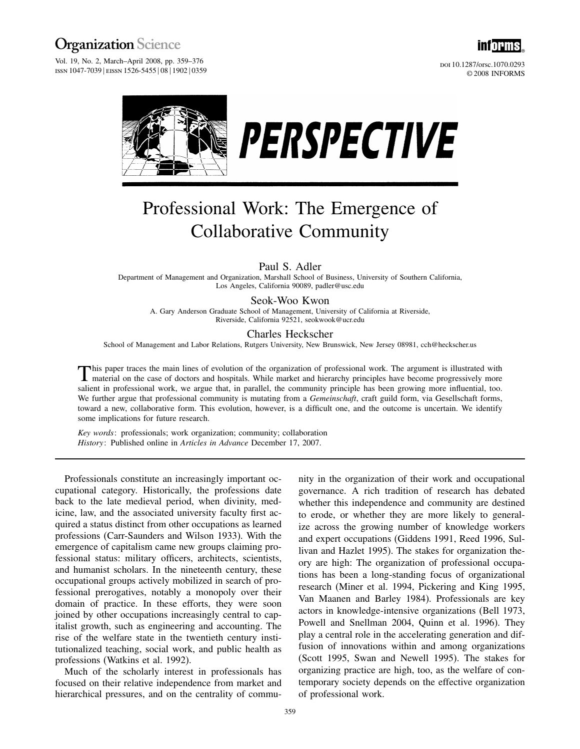**Vol. 19, No. 2, March–April 2008, pp. 359–376** ISSN 1047-7039 | EISSN 1526-5455 | 08 | 1902 | 0359





# **PERSPECTIVE**

## Professional Work: The Emergence of Collaborative Community

Paul S. Adler

Department of Management and Organization, Marshall School of Business, University of Southern California, Los Angeles, California 90089, padler@usc.edu

Seok-Woo Kwon

A. Gary Anderson Graduate School of Management, University of California at Riverside, Riverside, California 92521, seokwook@ucr.edu

#### Charles Heckscher

School of Management and Labor Relations, Rutgers University, New Brunswick, New Jersey 08981, cch@heckscher.us

This paper traces the main lines of evolution of the organization of professional work. The argument is illustrated with material on the case of doctors and hospitals. While market and hierarchy principles have become prog salient in professional work, we argue that, in parallel, the community principle has been growing more influential, too. We further argue that professional community is mutating from a Gemeinschaft, craft guild form, via Gesellschaft forms, toward a new, collaborative form. This evolution, however, is a difficult one, and the outcome is uncertain. We identify some implications for future research.

Key words: professionals; work organization; community; collaboration History: Published online in Articles in Advance December 17, 2007.

Professionals constitute an increasingly important occupational category. Historically, the professions date back to the late medieval period, when divinity, medicine, law, and the associated university faculty first acquired a status distinct from other occupations as learned professions (Carr-Saunders and Wilson 1933). With the emergence of capitalism came new groups claiming professional status: military officers, architects, scientists, and humanist scholars. In the nineteenth century, these occupational groups actively mobilized in search of professional prerogatives, notably a monopoly over their domain of practice. In these efforts, they were soon joined by other occupations increasingly central to capitalist growth, such as engineering and accounting. The rise of the welfare state in the twentieth century institutionalized teaching, social work, and public health as professions (Watkins et al. 1992).

Much of the scholarly interest in professionals has focused on their relative independence from market and hierarchical pressures, and on the centrality of community in the organization of their work and occupational governance. A rich tradition of research has debated whether this independence and community are destined to erode, or whether they are more likely to generalize across the growing number of knowledge workers and expert occupations (Giddens 1991, Reed 1996, Sullivan and Hazlet 1995). The stakes for organization theory are high: The organization of professional occupations has been a long-standing focus of organizational research (Miner et al. 1994, Pickering and King 1995, Van Maanen and Barley 1984). Professionals are key actors in knowledge-intensive organizations (Bell 1973, Powell and Snellman 2004, Quinn et al. 1996). They play a central role in the accelerating generation and diffusion of innovations within and among organizations (Scott 1995, Swan and Newell 1995). The stakes for organizing practice are high, too, as the welfare of contemporary society depends on the effective organization of professional work.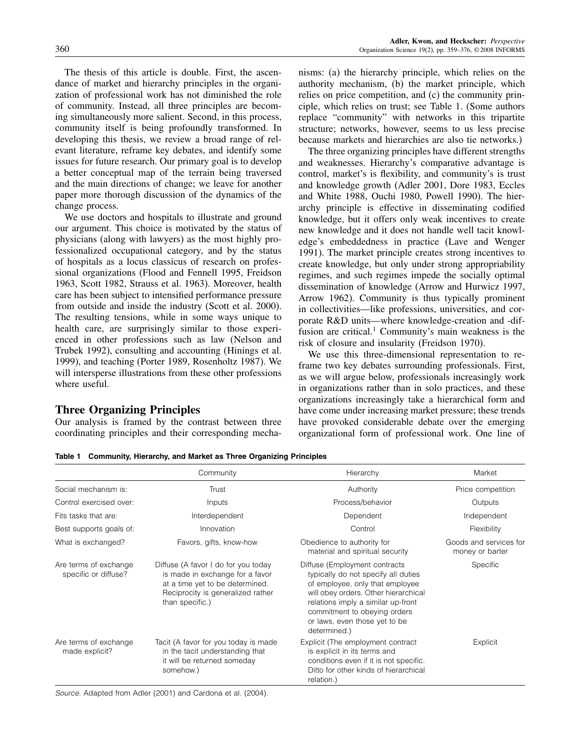The thesis of this article is double. First, the ascendance of market and hierarchy principles in the organization of professional work has not diminished the role of community. Instead, all three principles are becoming simultaneously more salient. Second, in this process, community itself is being profoundly transformed. In developing this thesis, we review a broad range of relevant literature, reframe key debates, and identify some issues for future research. Our primary goal is to develop a better conceptual map of the terrain being traversed and the main directions of change; we leave for another paper more thorough discussion of the dynamics of the change process.

We use doctors and hospitals to illustrate and ground our argument. This choice is motivated by the status of physicians (along with lawyers) as the most highly professionalized occupational category, and by the status of hospitals as a locus classicus of research on professional organizations (Flood and Fennell 1995, Freidson 1963, Scott 1982, Strauss et al. 1963). Moreover, health care has been subject to intensified performance pressure from outside and inside the industry (Scott et al. 2000). The resulting tensions, while in some ways unique to health care, are surprisingly similar to those experienced in other professions such as law (Nelson and Trubek 1992), consulting and accounting (Hinings et al. 1999), and teaching (Porter 1989, Rosenholtz 1987). We will intersperse illustrations from these other professions where useful.

### Three Organizing Principles

Our analysis is framed by the contrast between three coordinating principles and their corresponding mechanisms: (a) the hierarchy principle, which relies on the authority mechanism, (b) the market principle, which relies on price competition, and (c) the community principle, which relies on trust; see Table 1. (Some authors replace "community" with networks in this tripartite structure; networks, however, seems to us less precise because markets and hierarchies are also tie networks.)

The three organizing principles have different strengths and weaknesses. Hierarchy's comparative advantage is control, market's is flexibility, and community's is trust and knowledge growth (Adler 2001, Dore 1983, Eccles and White 1988, Ouchi 1980, Powell 1990). The hierarchy principle is effective in disseminating codified knowledge, but it offers only weak incentives to create new knowledge and it does not handle well tacit knowledge's embeddedness in practice (Lave and Wenger 1991). The market principle creates strong incentives to create knowledge, but only under strong appropriability regimes, and such regimes impede the socially optimal dissemination of knowledge (Arrow and Hurwicz 1997, Arrow 1962). Community is thus typically prominent in collectivities—like professions, universities, and corporate R&D units—where knowledge-creation and -diffusion are critical.<sup>1</sup> Community's main weakness is the risk of closure and insularity (Freidson 1970).

We use this three-dimensional representation to reframe two key debates surrounding professionals. First, as we will argue below, professionals increasingly work in organizations rather than in solo practices, and these organizations increasingly take a hierarchical form and have come under increasing market pressure; these trends have provoked considerable debate over the emerging organizational form of professional work. One line of

Table 1 Community, Hierarchy, and Market as Three Organizing Principles

|                                               | Community                                                                                                                                                         | Hierarchy                                                                                                                                                                                                                                                               | Market                                    |
|-----------------------------------------------|-------------------------------------------------------------------------------------------------------------------------------------------------------------------|-------------------------------------------------------------------------------------------------------------------------------------------------------------------------------------------------------------------------------------------------------------------------|-------------------------------------------|
| Social mechanism is:                          | Trust                                                                                                                                                             | Authority                                                                                                                                                                                                                                                               | Price competition                         |
| Control exercised over:                       | Inputs                                                                                                                                                            | Process/behavior                                                                                                                                                                                                                                                        | Outputs                                   |
| Fits tasks that are:                          | Interdependent                                                                                                                                                    | Dependent                                                                                                                                                                                                                                                               | Independent                               |
| Best supports goals of:                       | Innovation                                                                                                                                                        | Control                                                                                                                                                                                                                                                                 | Flexibility                               |
| What is exchanged?                            | Favors, gifts, know-how                                                                                                                                           | Obedience to authority for<br>material and spiritual security                                                                                                                                                                                                           | Goods and services for<br>money or barter |
| Are terms of exchange<br>specific or diffuse? | Diffuse (A favor I do for you today<br>is made in exchange for a favor<br>at a time yet to be determined.<br>Reciprocity is generalized rather<br>than specific.) | Diffuse (Employment contracts)<br>typically do not specify all duties<br>of employee, only that employee<br>will obey orders. Other hierarchical<br>relations imply a similar up-front<br>commitment to obeying orders<br>or laws, even those yet to be<br>determined.) | Specific                                  |
| Are terms of exchange<br>made explicit?       | Tacit (A favor for you today is made<br>in the tacit understanding that<br>it will be returned someday<br>somehow.)                                               | Explicit (The employment contract<br>is explicit in its terms and<br>conditions even if it is not specific.<br>Ditto for other kinds of hierarchical<br>relation.)                                                                                                      | Explicit                                  |

Source. Adapted from Adler (2001) and Cardona et al. (2004).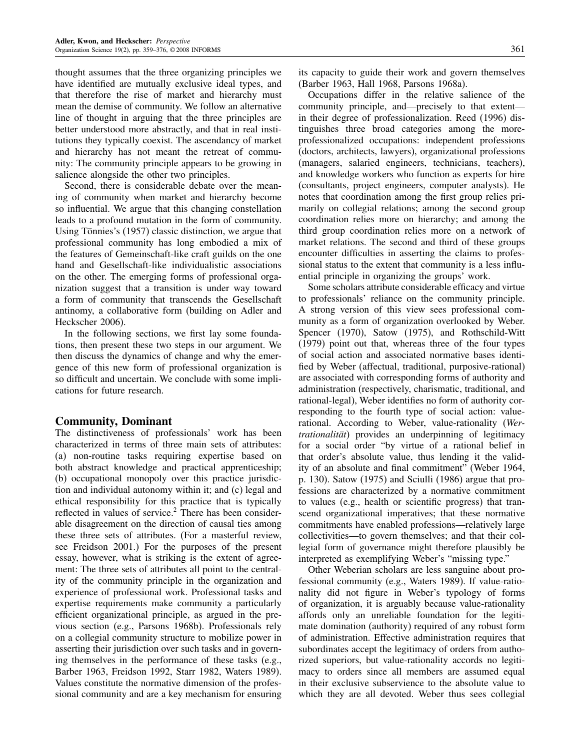thought assumes that the three organizing principles we have identified are mutually exclusive ideal types, and that therefore the rise of market and hierarchy must mean the demise of community. We follow an alternative line of thought in arguing that the three principles are better understood more abstractly, and that in real institutions they typically coexist. The ascendancy of market and hierarchy has not meant the retreat of community: The community principle appears to be growing in salience alongside the other two principles.

Second, there is considerable debate over the meaning of community when market and hierarchy become so influential. We argue that this changing constellation leads to a profound mutation in the form of community. Using Tönnies's (1957) classic distinction, we argue that professional community has long embodied a mix of the features of Gemeinschaft-like craft guilds on the one hand and Gesellschaft-like individualistic associations on the other. The emerging forms of professional organization suggest that a transition is under way toward a form of community that transcends the Gesellschaft antinomy, a collaborative form (building on Adler and Heckscher 2006).

In the following sections, we first lay some foundations, then present these two steps in our argument. We then discuss the dynamics of change and why the emergence of this new form of professional organization is so difficult and uncertain. We conclude with some implications for future research.

### Community, Dominant

The distinctiveness of professionals' work has been characterized in terms of three main sets of attributes: (a) non-routine tasks requiring expertise based on both abstract knowledge and practical apprenticeship; (b) occupational monopoly over this practice jurisdiction and individual autonomy within it; and (c) legal and ethical responsibility for this practice that is typically reflected in values of service.<sup>2</sup> There has been considerable disagreement on the direction of causal ties among these three sets of attributes. (For a masterful review, see Freidson 2001.) For the purposes of the present essay, however, what is striking is the extent of agreement: The three sets of attributes all point to the centrality of the community principle in the organization and experience of professional work. Professional tasks and expertise requirements make community a particularly efficient organizational principle, as argued in the previous section (e.g., Parsons 1968b). Professionals rely on a collegial community structure to mobilize power in asserting their jurisdiction over such tasks and in governing themselves in the performance of these tasks (e.g., Barber 1963, Freidson 1992, Starr 1982, Waters 1989). Values constitute the normative dimension of the professional community and are a key mechanism for ensuring its capacity to guide their work and govern themselves (Barber 1963, Hall 1968, Parsons 1968a).

Occupations differ in the relative salience of the community principle, and—precisely to that extent in their degree of professionalization. Reed (1996) distinguishes three broad categories among the moreprofessionalized occupations: independent professions (doctors, architects, lawyers), organizational professions (managers, salaried engineers, technicians, teachers), and knowledge workers who function as experts for hire (consultants, project engineers, computer analysts). He notes that coordination among the first group relies primarily on collegial relations; among the second group coordination relies more on hierarchy; and among the third group coordination relies more on a network of market relations. The second and third of these groups encounter difficulties in asserting the claims to professional status to the extent that community is a less influential principle in organizing the groups' work.

Some scholars attribute considerable efficacy and virtue to professionals' reliance on the community principle. A strong version of this view sees professional community as a form of organization overlooked by Weber. Spencer (1970), Satow (1975), and Rothschild-Witt (1979) point out that, whereas three of the four types of social action and associated normative bases identified by Weber (affectual, traditional, purposive-rational) are associated with corresponding forms of authority and administration (respectively, charismatic, traditional, and rational-legal), Weber identifies no form of authority corresponding to the fourth type of social action: valuerational. According to Weber, value-rationality (Wertrationalität) provides an underpinning of legitimacy for a social order "by virtue of a rational belief in that order's absolute value, thus lending it the validity of an absolute and final commitment" (Weber 1964, p. 130). Satow (1975) and Sciulli (1986) argue that professions are characterized by a normative commitment to values (e.g., health or scientific progress) that transcend organizational imperatives; that these normative commitments have enabled professions—relatively large collectivities—to govern themselves; and that their collegial form of governance might therefore plausibly be interpreted as exemplifying Weber's "missing type."

Other Weberian scholars are less sanguine about professional community (e.g., Waters 1989). If value-rationality did not figure in Weber's typology of forms of organization, it is arguably because value-rationality affords only an unreliable foundation for the legitimate domination (authority) required of any robust form of administration. Effective administration requires that subordinates accept the legitimacy of orders from authorized superiors, but value-rationality accords no legitimacy to orders since all members are assumed equal in their exclusive subservience to the absolute value to which they are all devoted. Weber thus sees collegial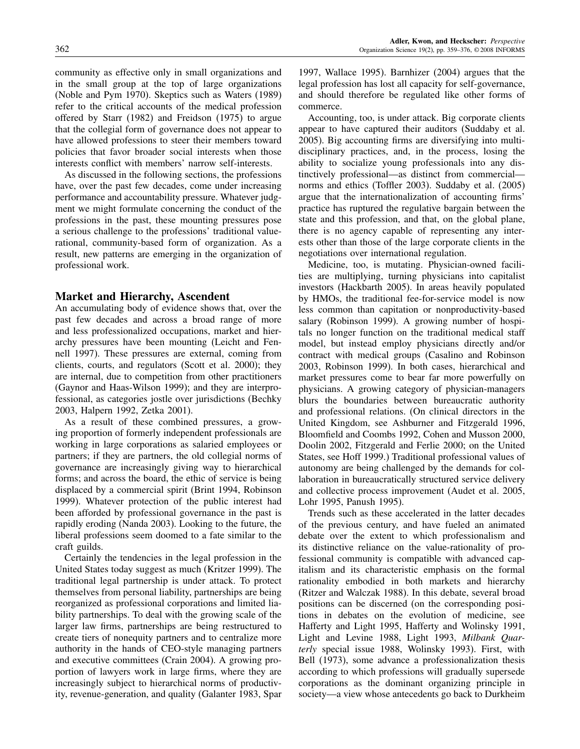community as effective only in small organizations and in the small group at the top of large organizations (Noble and Pym 1970). Skeptics such as Waters (1989) refer to the critical accounts of the medical profession offered by Starr (1982) and Freidson (1975) to argue that the collegial form of governance does not appear to have allowed professions to steer their members toward policies that favor broader social interests when those interests conflict with members' narrow self-interests.

As discussed in the following sections, the professions have, over the past few decades, come under increasing performance and accountability pressure. Whatever judgment we might formulate concerning the conduct of the professions in the past, these mounting pressures pose a serious challenge to the professions' traditional valuerational, community-based form of organization. As a result, new patterns are emerging in the organization of professional work.

#### Market and Hierarchy, Ascendent

An accumulating body of evidence shows that, over the past few decades and across a broad range of more and less professionalized occupations, market and hierarchy pressures have been mounting (Leicht and Fennell 1997). These pressures are external, coming from clients, courts, and regulators (Scott et al. 2000); they are internal, due to competition from other practitioners (Gaynor and Haas-Wilson 1999); and they are interprofessional, as categories jostle over jurisdictions (Bechky 2003, Halpern 1992, Zetka 2001).

As a result of these combined pressures, a growing proportion of formerly independent professionals are working in large corporations as salaried employees or partners; if they are partners, the old collegial norms of governance are increasingly giving way to hierarchical forms; and across the board, the ethic of service is being displaced by a commercial spirit (Brint 1994, Robinson 1999). Whatever protection of the public interest had been afforded by professional governance in the past is rapidly eroding (Nanda 2003). Looking to the future, the liberal professions seem doomed to a fate similar to the craft guilds.

Certainly the tendencies in the legal profession in the United States today suggest as much (Kritzer 1999). The traditional legal partnership is under attack. To protect themselves from personal liability, partnerships are being reorganized as professional corporations and limited liability partnerships. To deal with the growing scale of the larger law firms, partnerships are being restructured to create tiers of nonequity partners and to centralize more authority in the hands of CEO-style managing partners and executive committees (Crain 2004). A growing proportion of lawyers work in large firms, where they are increasingly subject to hierarchical norms of productivity, revenue-generation, and quality (Galanter 1983, Spar

1997, Wallace 1995). Barnhizer (2004) argues that the legal profession has lost all capacity for self-governance, and should therefore be regulated like other forms of commerce.

Accounting, too, is under attack. Big corporate clients appear to have captured their auditors (Suddaby et al. 2005). Big accounting firms are diversifying into multidisciplinary practices, and, in the process, losing the ability to socialize young professionals into any distinctively professional—as distinct from commercial norms and ethics (Toffler 2003). Suddaby et al. (2005) argue that the internationalization of accounting firms' practice has ruptured the regulative bargain between the state and this profession, and that, on the global plane, there is no agency capable of representing any interests other than those of the large corporate clients in the negotiations over international regulation.

Medicine, too, is mutating. Physician-owned facilities are multiplying, turning physicians into capitalist investors (Hackbarth 2005). In areas heavily populated by HMOs, the traditional fee-for-service model is now less common than capitation or nonproductivity-based salary (Robinson 1999). A growing number of hospitals no longer function on the traditional medical staff model, but instead employ physicians directly and/or contract with medical groups (Casalino and Robinson 2003, Robinson 1999). In both cases, hierarchical and market pressures come to bear far more powerfully on physicians. A growing category of physician-managers blurs the boundaries between bureaucratic authority and professional relations. (On clinical directors in the United Kingdom, see Ashburner and Fitzgerald 1996, Bloomfield and Coombs 1992, Cohen and Musson 2000, Doolin 2002, Fitzgerald and Ferlie 2000; on the United States, see Hoff 1999.) Traditional professional values of autonomy are being challenged by the demands for collaboration in bureaucratically structured service delivery and collective process improvement (Audet et al. 2005, Lohr 1995, Panush 1995).

Trends such as these accelerated in the latter decades of the previous century, and have fueled an animated debate over the extent to which professionalism and its distinctive reliance on the value-rationality of professional community is compatible with advanced capitalism and its characteristic emphasis on the formal rationality embodied in both markets and hierarchy (Ritzer and Walczak 1988). In this debate, several broad positions can be discerned (on the corresponding positions in debates on the evolution of medicine, see Hafferty and Light 1995, Hafferty and Wolinsky 1991, Light and Levine 1988, Light 1993, Milbank Quarterly special issue 1988, Wolinsky 1993). First, with Bell (1973), some advance a professionalization thesis according to which professions will gradually supersede corporations as the dominant organizing principle in society—a view whose antecedents go back to Durkheim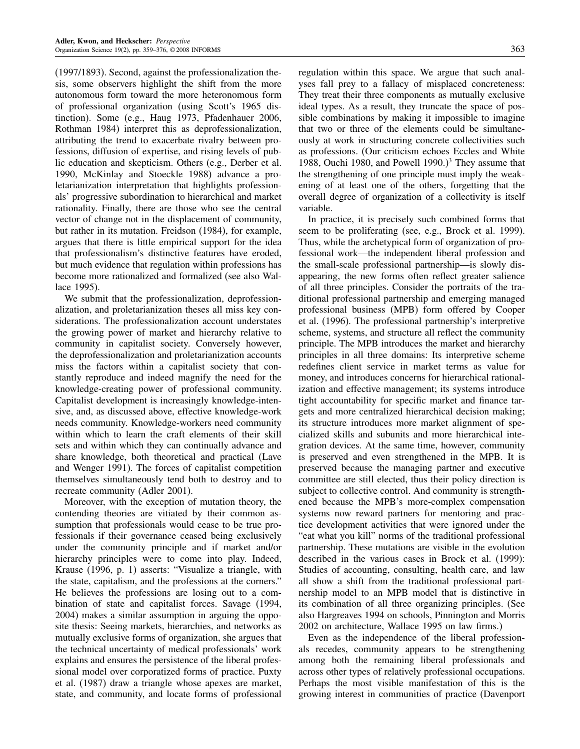(1997/1893). Second, against the professionalization thesis, some observers highlight the shift from the more autonomous form toward the more heteronomous form of professional organization (using Scott's 1965 distinction). Some (e.g., Haug 1973, Pfadenhauer 2006, Rothman 1984) interpret this as deprofessionalization, attributing the trend to exacerbate rivalry between professions, diffusion of expertise, and rising levels of public education and skepticism. Others (e.g., Derber et al. 1990, McKinlay and Stoeckle 1988) advance a proletarianization interpretation that highlights professionals' progressive subordination to hierarchical and market rationality. Finally, there are those who see the central vector of change not in the displacement of community, but rather in its mutation. Freidson (1984), for example, argues that there is little empirical support for the idea that professionalism's distinctive features have eroded, but much evidence that regulation within professions has become more rationalized and formalized (see also Wallace 1995).

We submit that the professionalization, deprofessionalization, and proletarianization theses all miss key considerations. The professionalization account understates the growing power of market and hierarchy relative to community in capitalist society. Conversely however, the deprofessionalization and proletarianization accounts miss the factors within a capitalist society that constantly reproduce and indeed magnify the need for the knowledge-creating power of professional community. Capitalist development is increasingly knowledge-intensive, and, as discussed above, effective knowledge-work needs community. Knowledge-workers need community within which to learn the craft elements of their skill sets and within which they can continually advance and share knowledge, both theoretical and practical (Lave and Wenger 1991). The forces of capitalist competition themselves simultaneously tend both to destroy and to recreate community (Adler 2001).

Moreover, with the exception of mutation theory, the contending theories are vitiated by their common assumption that professionals would cease to be true professionals if their governance ceased being exclusively under the community principle and if market and/or hierarchy principles were to come into play. Indeed, Krause (1996, p. 1) asserts: "Visualize a triangle, with the state, capitalism, and the professions at the corners." He believes the professions are losing out to a combination of state and capitalist forces. Savage (1994, 2004) makes a similar assumption in arguing the opposite thesis: Seeing markets, hierarchies, and networks as mutually exclusive forms of organization, she argues that the technical uncertainty of medical professionals' work explains and ensures the persistence of the liberal professional model over corporatized forms of practice. Puxty et al. (1987) draw a triangle whose apexes are market, state, and community, and locate forms of professional regulation within this space. We argue that such analyses fall prey to a fallacy of misplaced concreteness: They treat their three components as mutually exclusive ideal types. As a result, they truncate the space of possible combinations by making it impossible to imagine that two or three of the elements could be simultaneously at work in structuring concrete collectivities such as professions. (Our criticism echoes Eccles and White 1988, Ouchi 1980, and Powell 1990.)<sup>3</sup> They assume that the strengthening of one principle must imply the weakening of at least one of the others, forgetting that the overall degree of organization of a collectivity is itself variable.

In practice, it is precisely such combined forms that seem to be proliferating (see, e.g., Brock et al. 1999). Thus, while the archetypical form of organization of professional work—the independent liberal profession and the small-scale professional partnership—is slowly disappearing, the new forms often reflect greater salience of all three principles. Consider the portraits of the traditional professional partnership and emerging managed professional business (MPB) form offered by Cooper et al. (1996). The professional partnership's interpretive scheme, systems, and structure all reflect the community principle. The MPB introduces the market and hierarchy principles in all three domains: Its interpretive scheme redefines client service in market terms as value for money, and introduces concerns for hierarchical rationalization and effective management; its systems introduce tight accountability for specific market and finance targets and more centralized hierarchical decision making; its structure introduces more market alignment of specialized skills and subunits and more hierarchical integration devices. At the same time, however, community is preserved and even strengthened in the MPB. It is preserved because the managing partner and executive committee are still elected, thus their policy direction is subject to collective control. And community is strengthened because the MPB's more-complex compensation systems now reward partners for mentoring and practice development activities that were ignored under the "eat what you kill" norms of the traditional professional partnership. These mutations are visible in the evolution described in the various cases in Brock et al. (1999): Studies of accounting, consulting, health care, and law all show a shift from the traditional professional partnership model to an MPB model that is distinctive in its combination of all three organizing principles. (See also Hargreaves 1994 on schools, Pinnington and Morris 2002 on architecture, Wallace 1995 on law firms.)

Even as the independence of the liberal professionals recedes, community appears to be strengthening among both the remaining liberal professionals and across other types of relatively professional occupations. Perhaps the most visible manifestation of this is the growing interest in communities of practice (Davenport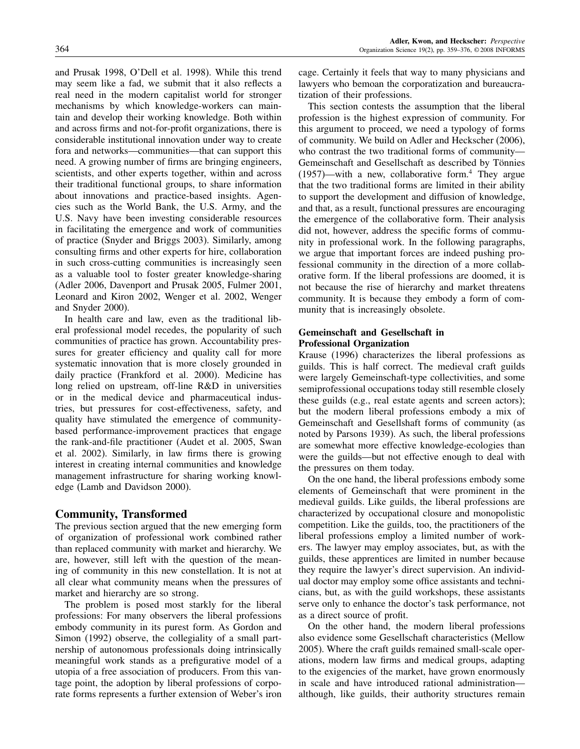and Prusak 1998, O'Dell et al. 1998). While this trend may seem like a fad, we submit that it also reflects a real need in the modern capitalist world for stronger mechanisms by which knowledge-workers can maintain and develop their working knowledge. Both within and across firms and not-for-profit organizations, there is considerable institutional innovation under way to create fora and networks—communities—that can support this need. A growing number of firms are bringing engineers, scientists, and other experts together, within and across their traditional functional groups, to share information about innovations and practice-based insights. Agencies such as the World Bank, the U.S. Army, and the U.S. Navy have been investing considerable resources in facilitating the emergence and work of communities of practice (Snyder and Briggs 2003). Similarly, among consulting firms and other experts for hire, collaboration in such cross-cutting communities is increasingly seen as a valuable tool to foster greater knowledge-sharing (Adler 2006, Davenport and Prusak 2005, Fulmer 2001, Leonard and Kiron 2002, Wenger et al. 2002, Wenger and Snyder 2000).

In health care and law, even as the traditional liberal professional model recedes, the popularity of such communities of practice has grown. Accountability pressures for greater efficiency and quality call for more systematic innovation that is more closely grounded in daily practice (Frankford et al. 2000). Medicine has long relied on upstream, off-line R&D in universities or in the medical device and pharmaceutical industries, but pressures for cost-effectiveness, safety, and quality have stimulated the emergence of communitybased performance-improvement practices that engage the rank-and-file practitioner (Audet et al. 2005, Swan et al. 2002). Similarly, in law firms there is growing interest in creating internal communities and knowledge management infrastructure for sharing working knowledge (Lamb and Davidson 2000).

#### Community, Transformed

The previous section argued that the new emerging form of organization of professional work combined rather than replaced community with market and hierarchy. We are, however, still left with the question of the meaning of community in this new constellation. It is not at all clear what community means when the pressures of market and hierarchy are so strong.

The problem is posed most starkly for the liberal professions: For many observers the liberal professions embody community in its purest form. As Gordon and Simon (1992) observe, the collegiality of a small partnership of autonomous professionals doing intrinsically meaningful work stands as a prefigurative model of a utopia of a free association of producers. From this vantage point, the adoption by liberal professions of corporate forms represents a further extension of Weber's iron

cage. Certainly it feels that way to many physicians and lawyers who bemoan the corporatization and bureaucratization of their professions.

This section contests the assumption that the liberal profession is the highest expression of community. For this argument to proceed, we need a typology of forms of community. We build on Adler and Heckscher (2006), who contrast the two traditional forms of community— Gemeinschaft and Gesellschaft as described by Tönnies  $(1957)$ —with a new, collaborative form.<sup>4</sup> They argue that the two traditional forms are limited in their ability to support the development and diffusion of knowledge, and that, as a result, functional pressures are encouraging the emergence of the collaborative form. Their analysis did not, however, address the specific forms of community in professional work. In the following paragraphs, we argue that important forces are indeed pushing professional community in the direction of a more collaborative form. If the liberal professions are doomed, it is not because the rise of hierarchy and market threatens community. It is because they embody a form of community that is increasingly obsolete.

#### Gemeinschaft and Gesellschaft in Professional Organization

Krause (1996) characterizes the liberal professions as guilds. This is half correct. The medieval craft guilds were largely Gemeinschaft-type collectivities, and some semiprofessional occupations today still resemble closely these guilds (e.g., real estate agents and screen actors); but the modern liberal professions embody a mix of Gemeinschaft and Gesellshaft forms of community (as noted by Parsons 1939). As such, the liberal professions are somewhat more effective knowledge-ecologies than were the guilds—but not effective enough to deal with the pressures on them today.

On the one hand, the liberal professions embody some elements of Gemeinschaft that were prominent in the medieval guilds. Like guilds, the liberal professions are characterized by occupational closure and monopolistic competition. Like the guilds, too, the practitioners of the liberal professions employ a limited number of workers. The lawyer may employ associates, but, as with the guilds, these apprentices are limited in number because they require the lawyer's direct supervision. An individual doctor may employ some office assistants and technicians, but, as with the guild workshops, these assistants serve only to enhance the doctor's task performance, not as a direct source of profit.

On the other hand, the modern liberal professions also evidence some Gesellschaft characteristics (Mellow 2005). Where the craft guilds remained small-scale operations, modern law firms and medical groups, adapting to the exigencies of the market, have grown enormously in scale and have introduced rational administration although, like guilds, their authority structures remain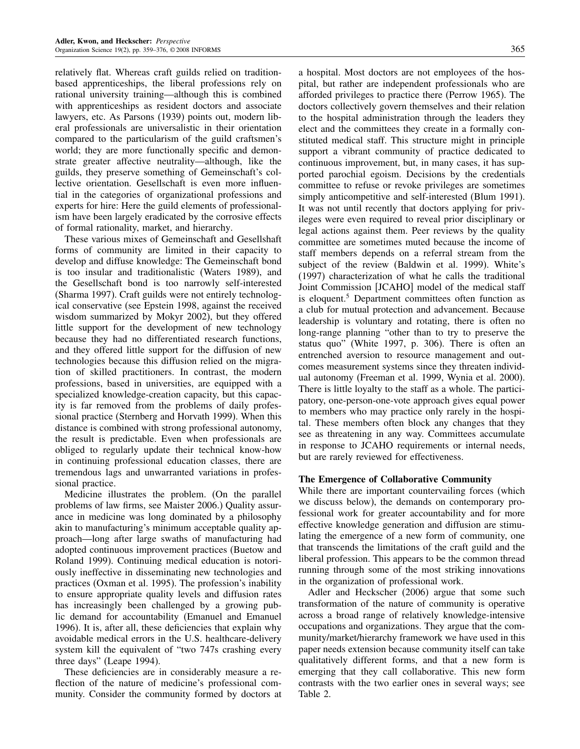relatively flat. Whereas craft guilds relied on traditionbased apprenticeships, the liberal professions rely on rational university training—although this is combined with apprenticeships as resident doctors and associate lawyers, etc. As Parsons (1939) points out, modern liberal professionals are universalistic in their orientation compared to the particularism of the guild craftsmen's world; they are more functionally specific and demonstrate greater affective neutrality—although, like the guilds, they preserve something of Gemeinschaft's collective orientation. Gesellschaft is even more influential in the categories of organizational professions and experts for hire: Here the guild elements of professionalism have been largely eradicated by the corrosive effects of formal rationality, market, and hierarchy.

These various mixes of Gemeinschaft and Gesellshaft forms of community are limited in their capacity to develop and diffuse knowledge: The Gemeinschaft bond is too insular and traditionalistic (Waters 1989), and the Gesellschaft bond is too narrowly self-interested (Sharma 1997). Craft guilds were not entirely technological conservative (see Epstein 1998, against the received wisdom summarized by Mokyr 2002), but they offered little support for the development of new technology because they had no differentiated research functions, and they offered little support for the diffusion of new technologies because this diffusion relied on the migration of skilled practitioners. In contrast, the modern professions, based in universities, are equipped with a specialized knowledge-creation capacity, but this capacity is far removed from the problems of daily professional practice (Sternberg and Horvath 1999). When this distance is combined with strong professional autonomy, the result is predictable. Even when professionals are obliged to regularly update their technical know-how in continuing professional education classes, there are tremendous lags and unwarranted variations in professional practice.

Medicine illustrates the problem. (On the parallel problems of law firms, see Maister 2006.) Quality assurance in medicine was long dominated by a philosophy akin to manufacturing's minimum acceptable quality approach—long after large swaths of manufacturing had adopted continuous improvement practices (Buetow and Roland 1999). Continuing medical education is notoriously ineffective in disseminating new technologies and practices (Oxman et al. 1995). The profession's inability to ensure appropriate quality levels and diffusion rates has increasingly been challenged by a growing public demand for accountability (Emanuel and Emanuel 1996). It is, after all, these deficiencies that explain why avoidable medical errors in the U.S. healthcare-delivery system kill the equivalent of "two 747s crashing every three days" (Leape 1994).

These deficiencies are in considerably measure a reflection of the nature of medicine's professional community. Consider the community formed by doctors at a hospital. Most doctors are not employees of the hospital, but rather are independent professionals who are afforded privileges to practice there (Perrow 1965). The doctors collectively govern themselves and their relation to the hospital administration through the leaders they elect and the committees they create in a formally constituted medical staff. This structure might in principle support a vibrant community of practice dedicated to continuous improvement, but, in many cases, it has supported parochial egoism. Decisions by the credentials committee to refuse or revoke privileges are sometimes simply anticompetitive and self-interested (Blum 1991). It was not until recently that doctors applying for privileges were even required to reveal prior disciplinary or legal actions against them. Peer reviews by the quality committee are sometimes muted because the income of staff members depends on a referral stream from the subject of the review (Baldwin et al. 1999). White's (1997) characterization of what he calls the traditional Joint Commission [JCAHO] model of the medical staff is eloquent.<sup>5</sup> Department committees often function as a club for mutual protection and advancement. Because leadership is voluntary and rotating, there is often no long-range planning "other than to try to preserve the status quo" (White 1997, p. 306). There is often an entrenched aversion to resource management and outcomes measurement systems since they threaten individual autonomy (Freeman et al. 1999, Wynia et al. 2000). There is little loyalty to the staff as a whole. The participatory, one-person-one-vote approach gives equal power to members who may practice only rarely in the hospital. These members often block any changes that they see as threatening in any way. Committees accumulate in response to JCAHO requirements or internal needs, but are rarely reviewed for effectiveness.

#### The Emergence of Collaborative Community

While there are important countervailing forces (which we discuss below), the demands on contemporary professional work for greater accountability and for more effective knowledge generation and diffusion are stimulating the emergence of a new form of community, one that transcends the limitations of the craft guild and the liberal profession. This appears to be the common thread running through some of the most striking innovations in the organization of professional work.

Adler and Heckscher (2006) argue that some such transformation of the nature of community is operative across a broad range of relatively knowledge-intensive occupations and organizations. They argue that the community/market/hierarchy framework we have used in this paper needs extension because community itself can take qualitatively different forms, and that a new form is emerging that they call collaborative. This new form contrasts with the two earlier ones in several ways; see Table 2.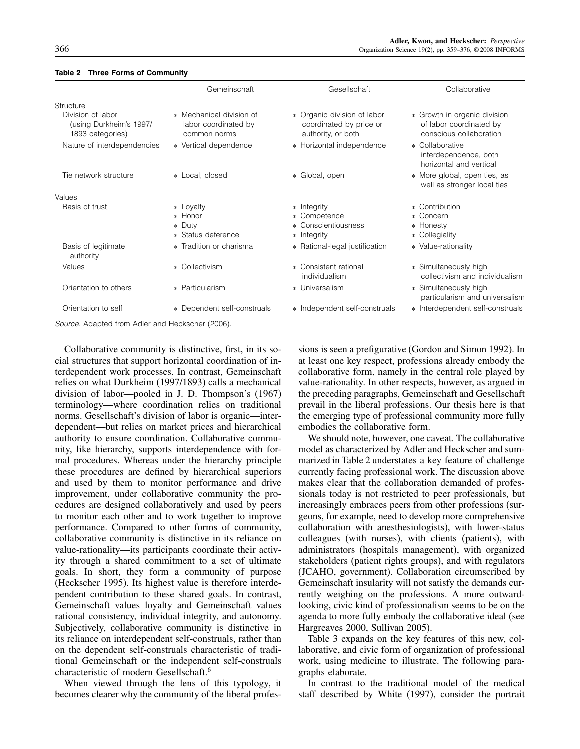|                                                                  | Gemeinschaft                                                     | Gesellschaft                                                                 | Collaborative                                                                      |
|------------------------------------------------------------------|------------------------------------------------------------------|------------------------------------------------------------------------------|------------------------------------------------------------------------------------|
| Structure                                                        |                                                                  |                                                                              |                                                                                    |
| Division of labor<br>(using Durkheim's 1997/<br>1893 categories) | * Mechanical division of<br>labor coordinated by<br>common norms | * Organic division of labor<br>coordinated by price or<br>authority, or both | * Growth in organic division<br>of labor coordinated by<br>conscious collaboration |
| Nature of interdependencies                                      | * Vertical dependence                                            | * Horizontal independence                                                    | * Collaborative<br>interdependence, both<br>horizontal and vertical                |
| Tie network structure                                            | * Local, closed                                                  | * Global, open                                                               | * More global, open ties, as<br>well as stronger local ties                        |
| Values                                                           |                                                                  |                                                                              |                                                                                    |
| Basis of trust                                                   | * Loyalty<br>* Honor<br>* Duty<br>* Status deference             | * Integrity<br>* Competence<br>* Conscientiousness<br>* Integrity            | * Contribution<br>* Concern<br>* Honesty<br>* Collegiality                         |
| Basis of legitimate<br>authority                                 | * Tradition or charisma                                          | * Rational-legal justification                                               | * Value-rationality                                                                |
| Values                                                           | * Collectivism                                                   | * Consistent rational<br>individualism                                       | * Simultaneously high<br>collectivism and individualism                            |
| Orientation to others                                            | * Particularism                                                  | * Universalism                                                               | * Simultaneously high<br>particularism and universalism                            |
| Orientation to self                                              | * Dependent self-construals                                      | * Independent self-construals                                                | * Interdependent self-construals                                                   |

#### Table 2 Three Forms of Community

Source. Adapted from Adler and Heckscher (2006).

Collaborative community is distinctive, first, in its social structures that support horizontal coordination of interdependent work processes. In contrast, Gemeinschaft relies on what Durkheim (1997/1893) calls a mechanical division of labor—pooled in J. D. Thompson's (1967) terminology—where coordination relies on traditional norms. Gesellschaft's division of labor is organic—interdependent—but relies on market prices and hierarchical authority to ensure coordination. Collaborative community, like hierarchy, supports interdependence with formal procedures. Whereas under the hierarchy principle these procedures are defined by hierarchical superiors and used by them to monitor performance and drive improvement, under collaborative community the procedures are designed collaboratively and used by peers to monitor each other and to work together to improve performance. Compared to other forms of community, collaborative community is distinctive in its reliance on value-rationality—its participants coordinate their activity through a shared commitment to a set of ultimate goals. In short, they form a community of purpose (Heckscher 1995). Its highest value is therefore interdependent contribution to these shared goals. In contrast, Gemeinschaft values loyalty and Gemeinschaft values rational consistency, individual integrity, and autonomy. Subjectively, collaborative community is distinctive in its reliance on interdependent self-construals, rather than on the dependent self-construals characteristic of traditional Gemeinschaft or the independent self-construals characteristic of modern Gesellschaft.<sup>6</sup>

When viewed through the lens of this typology, it becomes clearer why the community of the liberal professions is seen a prefigurative (Gordon and Simon 1992). In at least one key respect, professions already embody the collaborative form, namely in the central role played by value-rationality. In other respects, however, as argued in the preceding paragraphs, Gemeinschaft and Gesellschaft prevail in the liberal professions. Our thesis here is that the emerging type of professional community more fully embodies the collaborative form.

We should note, however, one caveat. The collaborative model as characterized by Adler and Heckscher and summarized in Table 2 understates a key feature of challenge currently facing professional work. The discussion above makes clear that the collaboration demanded of professionals today is not restricted to peer professionals, but increasingly embraces peers from other professions (surgeons, for example, need to develop more comprehensive collaboration with anesthesiologists), with lower-status colleagues (with nurses), with clients (patients), with administrators (hospitals management), with organized stakeholders (patient rights groups), and with regulators (JCAHO, government). Collaboration circumscribed by Gemeinschaft insularity will not satisfy the demands currently weighing on the professions. A more outwardlooking, civic kind of professionalism seems to be on the agenda to more fully embody the collaborative ideal (see Hargreaves 2000, Sullivan 2005).

Table 3 expands on the key features of this new, collaborative, and civic form of organization of professional work, using medicine to illustrate. The following paragraphs elaborate.

In contrast to the traditional model of the medical staff described by White (1997), consider the portrait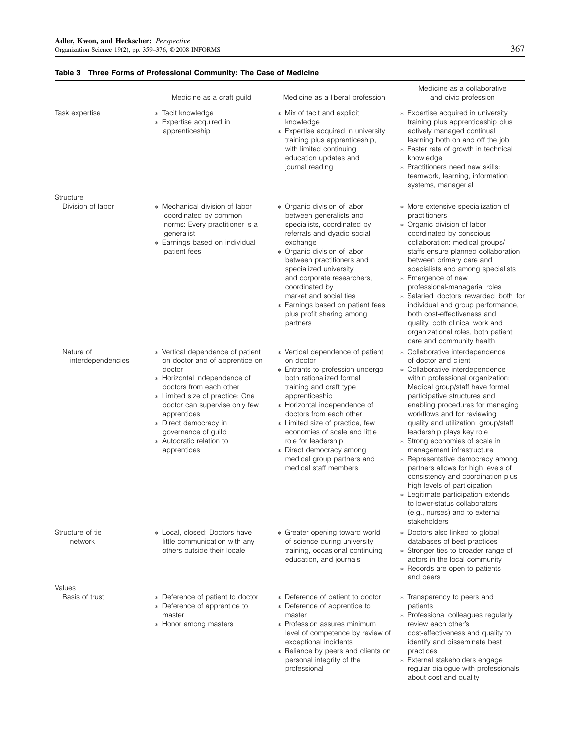|                                | Medicine as a craft guild                                                                                                                                                                                                                                                                                             | Medicine as a liberal profession                                                                                                                                                                                                                                                                                                                                                                    | Medicine as a collaborative<br>and civic profession                                                                                                                                                                                                                                                                                                                                                                                                                                                                                                                                                                                                                                |
|--------------------------------|-----------------------------------------------------------------------------------------------------------------------------------------------------------------------------------------------------------------------------------------------------------------------------------------------------------------------|-----------------------------------------------------------------------------------------------------------------------------------------------------------------------------------------------------------------------------------------------------------------------------------------------------------------------------------------------------------------------------------------------------|------------------------------------------------------------------------------------------------------------------------------------------------------------------------------------------------------------------------------------------------------------------------------------------------------------------------------------------------------------------------------------------------------------------------------------------------------------------------------------------------------------------------------------------------------------------------------------------------------------------------------------------------------------------------------------|
| Task expertise                 | * Tacit knowledge<br>* Expertise acquired in<br>apprenticeship                                                                                                                                                                                                                                                        | * Mix of tacit and explicit<br>knowledge<br>* Expertise acquired in university<br>training plus apprenticeship,<br>with limited continuing<br>education updates and<br>journal reading                                                                                                                                                                                                              | * Expertise acquired in university<br>training plus apprenticeship plus<br>actively managed continual<br>learning both on and off the job<br>* Faster rate of growth in technical<br>knowledge<br>* Practitioners need new skills:<br>teamwork, learning, information<br>systems, managerial                                                                                                                                                                                                                                                                                                                                                                                       |
| Structure<br>Division of labor | * Mechanical division of labor<br>coordinated by common<br>norms: Every practitioner is a<br>generalist<br>* Earnings based on individual<br>patient fees                                                                                                                                                             | * Organic division of labor<br>between generalists and<br>specialists, coordinated by<br>referrals and dyadic social<br>exchange<br>* Organic division of labor<br>between practitioners and<br>specialized university<br>and corporate researchers,<br>coordinated by<br>market and social ties<br>* Earnings based on patient fees<br>plus profit sharing among<br>partners                       | * More extensive specialization of<br>practitioners<br>* Organic division of labor<br>coordinated by conscious<br>collaboration: medical groups/<br>staffs ensure planned collaboration<br>between primary care and<br>specialists and among specialists<br>* Emergence of new<br>professional-managerial roles<br>* Salaried doctors rewarded both for<br>individual and group performance,<br>both cost-effectiveness and<br>quality, both clinical work and<br>organizational roles, both patient<br>care and community health                                                                                                                                                  |
| Nature of<br>interdependencies | * Vertical dependence of patient<br>on doctor and of apprentice on<br>doctor<br>* Horizontal independence of<br>doctors from each other<br>* Limited size of practice: One<br>doctor can supervise only few<br>apprentices<br>* Direct democracy in<br>governance of guild<br>* Autocratic relation to<br>apprentices | * Vertical dependence of patient<br>on doctor<br>* Entrants to profession undergo<br>both rationalized formal<br>training and craft type<br>apprenticeship<br>* Horizontal independence of<br>doctors from each other<br>* Limited size of practice, few<br>economies of scale and little<br>role for leadership<br>* Direct democracy among<br>medical group partners and<br>medical staff members | * Collaborative interdependence<br>of doctor and client<br>* Collaborative interdependence<br>within professional organization:<br>Medical group/staff have formal,<br>participative structures and<br>enabling procedures for managing<br>workflows and for reviewing<br>quality and utilization; group/staff<br>leadership plays key role<br>* Strong economies of scale in<br>management infrastructure<br>* Representative democracy among<br>partners allows for high levels of<br>consistency and coordination plus<br>high levels of participation<br>* Legitimate participation extends<br>to lower-status collaborators<br>(e.g., nurses) and to external<br>stakeholders |
| Structure of tie<br>network    | * Local, closed: Doctors have<br>little communication with any<br>others outside their locale                                                                                                                                                                                                                         | * Greater opening toward world<br>of science during university<br>training, occasional continuing<br>education, and journals                                                                                                                                                                                                                                                                        | * Doctors also linked to global<br>databases of best practices<br>* Stronger ties to broader range of<br>actors in the local community<br>* Records are open to patients<br>and peers                                                                                                                                                                                                                                                                                                                                                                                                                                                                                              |
| Values<br>Basis of trust       | » Deference of patient to doctor<br>* Deference of apprentice to<br>master<br>* Honor among masters                                                                                                                                                                                                                   | * Deference of patient to doctor<br>* Deference of apprentice to<br>master<br>* Profession assures minimum<br>level of competence by review of<br>exceptional incidents<br>* Reliance by peers and clients on<br>personal integrity of the<br>professional                                                                                                                                          | * Transparency to peers and<br>patients<br>* Professional colleagues regularly<br>review each other's<br>cost-effectiveness and quality to<br>identify and disseminate best<br>practices<br>* External stakeholders engage<br>regular dialogue with professionals<br>about cost and quality                                                                                                                                                                                                                                                                                                                                                                                        |

#### Table 3 Three Forms of Professional Community: The Case of Medicine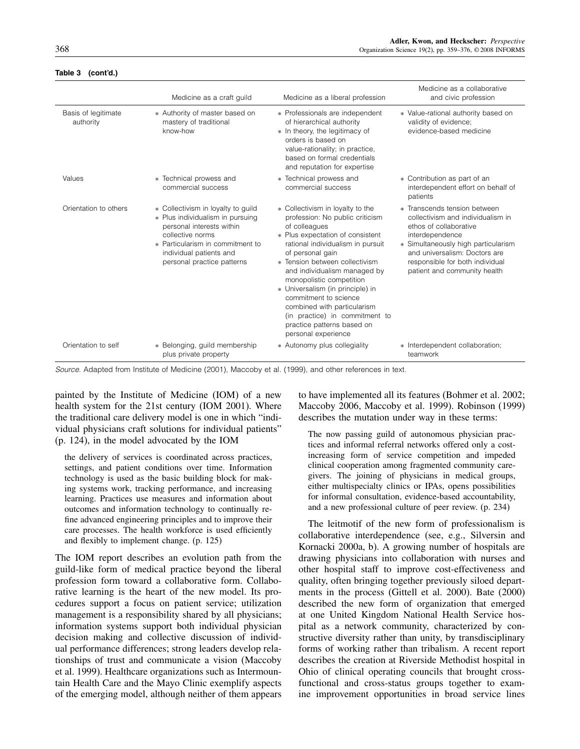|                                  | Medicine as a craft guild                                                                                                                                                                                            | Medicine as a liberal profession                                                                                                                                                                                                                                                                                                                                                                                                                                   | Medicine as a collaborative<br>and civic profession                                                                                                                                                                                                       |
|----------------------------------|----------------------------------------------------------------------------------------------------------------------------------------------------------------------------------------------------------------------|--------------------------------------------------------------------------------------------------------------------------------------------------------------------------------------------------------------------------------------------------------------------------------------------------------------------------------------------------------------------------------------------------------------------------------------------------------------------|-----------------------------------------------------------------------------------------------------------------------------------------------------------------------------------------------------------------------------------------------------------|
| Basis of legitimate<br>authority | * Authority of master based on<br>mastery of traditional<br>know-how                                                                                                                                                 | * Professionals are independent<br>of hierarchical authority<br>* In theory, the legitimacy of<br>orders is based on<br>value-rationality; in practice,<br>based on formal credentials<br>and reputation for expertise                                                                                                                                                                                                                                             | * Value-rational authority based on<br>validity of evidence;<br>evidence-based medicine                                                                                                                                                                   |
| Values                           | * Technical prowess and<br>commercial success                                                                                                                                                                        | * Technical prowess and<br>commercial success                                                                                                                                                                                                                                                                                                                                                                                                                      | * Contribution as part of an<br>interdependent effort on behalf of<br>patients                                                                                                                                                                            |
| Orientation to others            | * Collectivism in loyalty to quild<br>* Plus individualism in pursuing<br>personal interests within<br>collective norms<br>* Particularism in commitment to<br>individual patients and<br>personal practice patterns | * Collectivism in loyalty to the<br>profession: No public criticism<br>of colleagues<br>* Plus expectation of consistent<br>rational individualism in pursuit<br>of personal gain<br>* Tension between collectivism<br>and individualism managed by<br>monopolistic competition<br>* Universalism (in principle) in<br>commitment to science<br>combined with particularism<br>(in practice) in commitment to<br>practice patterns based on<br>personal experience | * Transcends tension between<br>collectivism and individualism in<br>ethos of collaborative<br>interdependence<br>* Simultaneously high particularism<br>and universalism: Doctors are<br>responsible for both individual<br>patient and community health |
| Orientation to self              | * Belonging, guild membership<br>plus private property                                                                                                                                                               | * Autonomy plus collegiality                                                                                                                                                                                                                                                                                                                                                                                                                                       | * Interdependent collaboration;<br>teamwork                                                                                                                                                                                                               |

#### Table 3 (cont'd.)

Source. Adapted from Institute of Medicine (2001), Maccoby et al. (1999), and other references in text.

painted by the Institute of Medicine (IOM) of a new health system for the 21st century (IOM 2001). Where the traditional care delivery model is one in which "individual physicians craft solutions for individual patients" (p. 124), in the model advocated by the IOM

the delivery of services is coordinated across practices, settings, and patient conditions over time. Information technology is used as the basic building block for making systems work, tracking performance, and increasing learning. Practices use measures and information about outcomes and information technology to continually refine advanced engineering principles and to improve their care processes. The health workforce is used efficiently and flexibly to implement change. (p. 125)

The IOM report describes an evolution path from the guild-like form of medical practice beyond the liberal profession form toward a collaborative form. Collaborative learning is the heart of the new model. Its procedures support a focus on patient service; utilization management is a responsibility shared by all physicians; information systems support both individual physician decision making and collective discussion of individual performance differences; strong leaders develop relationships of trust and communicate a vision (Maccoby et al. 1999). Healthcare organizations such as Intermountain Health Care and the Mayo Clinic exemplify aspects of the emerging model, although neither of them appears

to have implemented all its features (Bohmer et al. 2002; Maccoby 2006, Maccoby et al. 1999). Robinson (1999) describes the mutation under way in these terms:

The now passing guild of autonomous physician practices and informal referral networks offered only a costincreasing form of service competition and impeded clinical cooperation among fragmented community caregivers. The joining of physicians in medical groups, either multispecialty clinics or IPAs, opens possibilities for informal consultation, evidence-based accountability, and a new professional culture of peer review. (p. 234)

The leitmotif of the new form of professionalism is collaborative interdependence (see, e.g., Silversin and Kornacki 2000a, b). A growing number of hospitals are drawing physicians into collaboration with nurses and other hospital staff to improve cost-effectiveness and quality, often bringing together previously siloed departments in the process (Gittell et al. 2000). Bate (2000) described the new form of organization that emerged at one United Kingdom National Health Service hospital as a network community, characterized by constructive diversity rather than unity, by transdisciplinary forms of working rather than tribalism. A recent report describes the creation at Riverside Methodist hospital in Ohio of clinical operating councils that brought crossfunctional and cross-status groups together to examine improvement opportunities in broad service lines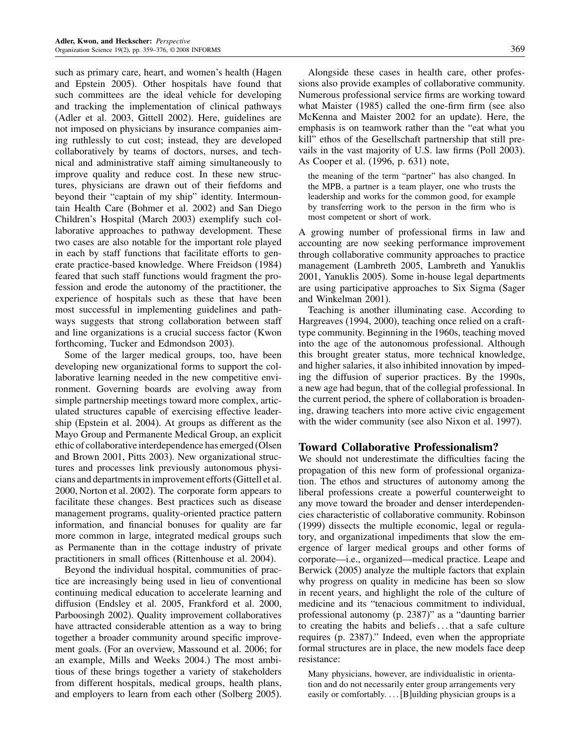such as primary care, heart, and women's health (Hagen and Epstein 2005). Other hospitals have found that such committees are the ideal vehicle for developing and tracking the implementation of clinical pathways (Adler et al. 2003, Gittell 2002). Here, guidelines are not imposed on physicians by insurance companies aiming ruthlessly to cut cost; instead, they are developed collaboratively by teams of doctors, nurses, and technical and administrative staff aiming simultaneously to improve quality and reduce cost. In these new structures, physicians are drawn out of their fiefdoms and beyond their "captain of my ship" identity. Intermountain Health Care (Bohmer et al. 2002) and San Diego Children's Hospital (March 2003) exemplify such collaborative approaches to pathway development. These two cases are also notable for the important role played in each by staff functions that facilitate efforts to generate practice-based knowledge. Where Freidson (1984) feared that such staff functions would fragment the profession and erode the autonomy of the practitioner, the experience of hospitals such as these that have been most successful in implementing guidelines and pathways suggests that strong collaboration between staff and line organizations is a crucial success factor (Kwon forthcoming, Tucker and Edmondson 2003).

Some of the larger medical groups, too, have been developing new organizational forms to support the collaborative learning needed in the new competitive environment. Governing boards are evolving away from simple partnership meetings toward more complex, articulated structures capable of exercising effective leadership (Epstein et al. 2004). At groups as different as the Mayo Group and Permanente Medical Group, an explicit ethic of collaborative interdependence has emerged (Olsen and Brown 2001, Pitts 2003). New organizational structures and processes link previously autonomous physicians and departments in improvement efforts (Gittell et al. 2000, Norton et al. 2002). The corporate form appears to facilitate these changes. Best practices such as disease management programs, quality-oriented practice pattern information, and financial bonuses for quality are far more common in large, integrated medical groups such as Permanente than in the cottage industry of private practitioners in small offices (Rittenhouse et al. 2004).

Beyond the individual hospital, communities of practice are increasingly being used in lieu of conventional continuing medical education to accelerate learning and diffusion (Endsley et al. 2005, Frankford et al. 2000, Parboosingh 2002). Quality improvement collaboratives have attracted considerable attention as a way to bring together a broader community around specific improvement goals. (For an overview, Massound et al. 2006; for an example, Mills and Weeks 2004.) The most ambitious of these brings together a variety of stakeholders from different hospitals, medical groups, health plans, and employers to learn from each other (Solberg 2005).

Alongside these cases in health care, other professions also provide examples of collaborative community. Numerous professional service firms are working toward what Maister (1985) called the one-firm firm (see also McKenna and Maister 2002 for an update). Here, the emphasis is on teamwork rather than the "eat what you kill" ethos of the Gesellschaft partnership that still prevails in the vast majority of U.S. law firms (Poll 2003). As Cooper et al. (1996, p. 631) note,

the meaning of the term "partner" has also changed. In the MPB, a partner is a team player, one who trusts the leadership and works for the common good, for example by transferring work to the person in the firm who is most competent or short of work.

A growing number of professional firms in law and accounting are now seeking performance improvement through collaborative community approaches to practice management (Lambreth 2005, Lambreth and Yanuklis 2001, Yanuklis 2005). Some in-house legal departments are using participative approaches to Six Sigma (Sager and Winkelman 2001).

Teaching is another illuminating case. According to Hargreaves (1994, 2000), teaching once relied on a crafttype community. Beginning in the 1960s, teaching moved into the age of the autonomous professional. Although this brought greater status, more technical knowledge, and higher salaries, it also inhibited innovation by impeding the diffusion of superior practices. By the 1990s, a new age had begun, that of the collegial professional. In the current period, the sphere of collaboration is broadening, drawing teachers into more active civic engagement with the wider community (see also Nixon et al. 1997).

### Toward Collaborative Professionalism?

We should not underestimate the difficulties facing the propagation of this new form of professional organization. The ethos and structures of autonomy among the liberal professions create a powerful counterweight to any move toward the broader and denser interdependencies characteristic of collaborative community. Robinson (1999) dissects the multiple economic, legal or regulatory, and organizational impediments that slow the emergence of larger medical groups and other forms of corporate—i.e., organized—medical practice. Leape and Berwick (2005) analyze the multiple factors that explain why progress on quality in medicine has been so slow in recent years, and highlight the role of the culture of medicine and its "tenacious commitment to individual, professional autonomy (p. 2387)" as a "daunting barrier to creating the habits and beliefs...that a safe culture requires (p. 2387)." Indeed, even when the appropriate formal structures are in place, the new models face deep resistance:

Many physicians, however, are individualistic in orientation and do not necessarily enter group arrangements very easily or comfortably.  $\ldots$  [B]uilding physician groups is a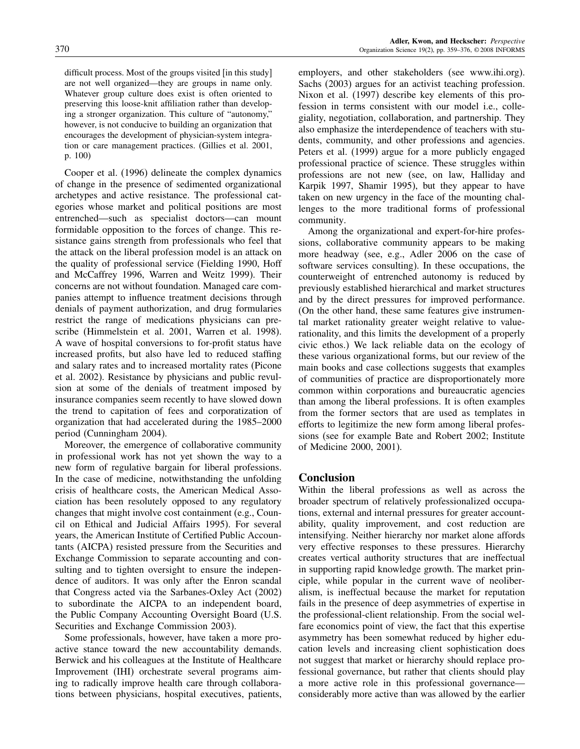difficult process. Most of the groups visited [in this study] are not well organized—they are groups in name only. Whatever group culture does exist is often oriented to preserving this loose-knit affiliation rather than developing a stronger organization. This culture of "autonomy," however, is not conducive to building an organization that encourages the development of physician-system integration or care management practices. (Gillies et al. 2001, p. 100)

Cooper et al. (1996) delineate the complex dynamics of change in the presence of sedimented organizational archetypes and active resistance. The professional categories whose market and political positions are most entrenched—such as specialist doctors—can mount formidable opposition to the forces of change. This resistance gains strength from professionals who feel that the attack on the liberal profession model is an attack on the quality of professional service (Fielding 1990, Hoff and McCaffrey 1996, Warren and Weitz 1999). Their concerns are not without foundation. Managed care companies attempt to influence treatment decisions through denials of payment authorization, and drug formularies restrict the range of medications physicians can prescribe (Himmelstein et al. 2001, Warren et al. 1998). A wave of hospital conversions to for-profit status have increased profits, but also have led to reduced staffing and salary rates and to increased mortality rates (Picone et al. 2002). Resistance by physicians and public revulsion at some of the denials of treatment imposed by insurance companies seem recently to have slowed down the trend to capitation of fees and corporatization of organization that had accelerated during the 1985–2000 period (Cunningham 2004).

Moreover, the emergence of collaborative community in professional work has not yet shown the way to a new form of regulative bargain for liberal professions. In the case of medicine, notwithstanding the unfolding crisis of healthcare costs, the American Medical Association has been resolutely opposed to any regulatory changes that might involve cost containment (e.g., Council on Ethical and Judicial Affairs 1995). For several years, the American Institute of Certified Public Accountants (AICPA) resisted pressure from the Securities and Exchange Commission to separate accounting and consulting and to tighten oversight to ensure the independence of auditors. It was only after the Enron scandal that Congress acted via the Sarbanes-Oxley Act (2002) to subordinate the AICPA to an independent board, the Public Company Accounting Oversight Board (U.S. Securities and Exchange Commission 2003).

Some professionals, however, have taken a more proactive stance toward the new accountability demands. Berwick and his colleagues at the Institute of Healthcare Improvement (IHI) orchestrate several programs aiming to radically improve health care through collaborations between physicians, hospital executives, patients,

employers, and other stakeholders (see www.ihi.org). Sachs (2003) argues for an activist teaching profession. Nixon et al. (1997) describe key elements of this profession in terms consistent with our model i.e., collegiality, negotiation, collaboration, and partnership. They also emphasize the interdependence of teachers with students, community, and other professions and agencies. Peters et al. (1999) argue for a more publicly engaged professional practice of science. These struggles within professions are not new (see, on law, Halliday and Karpik 1997, Shamir 1995), but they appear to have taken on new urgency in the face of the mounting challenges to the more traditional forms of professional community.

Among the organizational and expert-for-hire professions, collaborative community appears to be making more headway (see, e.g., Adler 2006 on the case of software services consulting). In these occupations, the counterweight of entrenched autonomy is reduced by previously established hierarchical and market structures and by the direct pressures for improved performance. (On the other hand, these same features give instrumental market rationality greater weight relative to valuerationality, and this limits the development of a properly civic ethos.) We lack reliable data on the ecology of these various organizational forms, but our review of the main books and case collections suggests that examples of communities of practice are disproportionately more common within corporations and bureaucratic agencies than among the liberal professions. It is often examples from the former sectors that are used as templates in efforts to legitimize the new form among liberal professions (see for example Bate and Robert 2002; Institute of Medicine 2000, 2001).

#### Conclusion

Within the liberal professions as well as across the broader spectrum of relatively professionalized occupations, external and internal pressures for greater accountability, quality improvement, and cost reduction are intensifying. Neither hierarchy nor market alone affords very effective responses to these pressures. Hierarchy creates vertical authority structures that are ineffectual in supporting rapid knowledge growth. The market principle, while popular in the current wave of neoliberalism, is ineffectual because the market for reputation fails in the presence of deep asymmetries of expertise in the professional-client relationship. From the social welfare economics point of view, the fact that this expertise asymmetry has been somewhat reduced by higher education levels and increasing client sophistication does not suggest that market or hierarchy should replace professional governance, but rather that clients should play a more active role in this professional governance considerably more active than was allowed by the earlier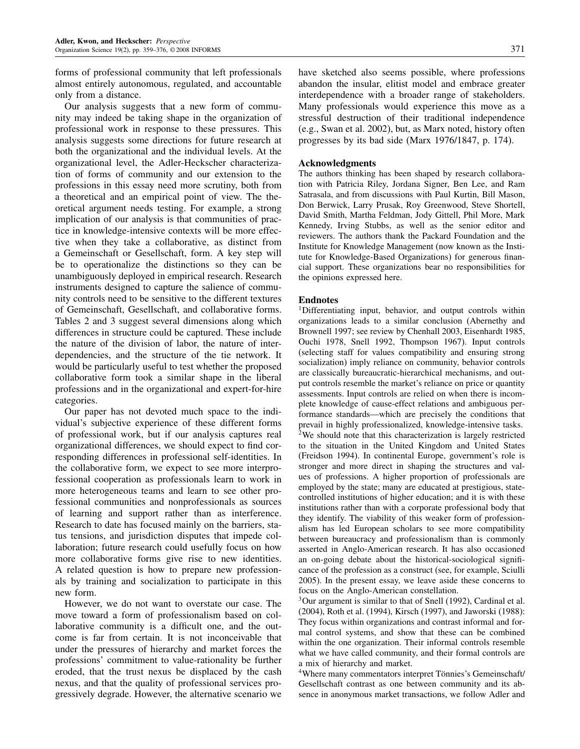forms of professional community that left professionals almost entirely autonomous, regulated, and accountable only from a distance.

Our analysis suggests that a new form of community may indeed be taking shape in the organization of professional work in response to these pressures. This analysis suggests some directions for future research at both the organizational and the individual levels. At the organizational level, the Adler-Heckscher characterization of forms of community and our extension to the professions in this essay need more scrutiny, both from a theoretical and an empirical point of view. The theoretical argument needs testing. For example, a strong implication of our analysis is that communities of practice in knowledge-intensive contexts will be more effective when they take a collaborative, as distinct from a Gemeinschaft or Gesellschaft, form. A key step will be to operationalize the distinctions so they can be unambiguously deployed in empirical research. Research instruments designed to capture the salience of community controls need to be sensitive to the different textures of Gemeinschaft, Gesellschaft, and collaborative forms. Tables 2 and 3 suggest several dimensions along which differences in structure could be captured. These include the nature of the division of labor, the nature of interdependencies, and the structure of the tie network. It would be particularly useful to test whether the proposed collaborative form took a similar shape in the liberal professions and in the organizational and expert-for-hire categories.

Our paper has not devoted much space to the individual's subjective experience of these different forms of professional work, but if our analysis captures real organizational differences, we should expect to find corresponding differences in professional self-identities. In the collaborative form, we expect to see more interprofessional cooperation as professionals learn to work in more heterogeneous teams and learn to see other professional communities and nonprofessionals as sources of learning and support rather than as interference. Research to date has focused mainly on the barriers, status tensions, and jurisdiction disputes that impede collaboration; future research could usefully focus on how more collaborative forms give rise to new identities. A related question is how to prepare new professionals by training and socialization to participate in this new form.

However, we do not want to overstate our case. The move toward a form of professionalism based on collaborative community is a difficult one, and the outcome is far from certain. It is not inconceivable that under the pressures of hierarchy and market forces the professions' commitment to value-rationality be further eroded, that the trust nexus be displaced by the cash nexus, and that the quality of professional services progressively degrade. However, the alternative scenario we

have sketched also seems possible, where professions abandon the insular, elitist model and embrace greater interdependence with a broader range of stakeholders. Many professionals would experience this move as a stressful destruction of their traditional independence (e.g., Swan et al. 2002), but, as Marx noted, history often progresses by its bad side (Marx 1976/1847, p. 174).

#### Acknowledgments

The authors thinking has been shaped by research collaboration with Patricia Riley, Jordana Signer, Ben Lee, and Ram Satrasala, and from discussions with Paul Kurtin, Bill Mason, Don Berwick, Larry Prusak, Roy Greenwood, Steve Shortell, David Smith, Martha Feldman, Jody Gittell, Phil More, Mark Kennedy, Irving Stubbs, as well as the senior editor and reviewers. The authors thank the Packard Foundation and the Institute for Knowledge Management (now known as the Institute for Knowledge-Based Organizations) for generous financial support. These organizations bear no responsibilities for the opinions expressed here.

#### Endnotes

<sup>1</sup>Differentiating input, behavior, and output controls within organizations leads to a similar conclusion (Abernethy and Brownell 1997; see review by Chenhall 2003, Eisenhardt 1985, Ouchi 1978, Snell 1992, Thompson 1967). Input controls (selecting staff for values compatibility and ensuring strong socialization) imply reliance on community, behavior controls are classically bureaucratic-hierarchical mechanisms, and output controls resemble the market's reliance on price or quantity assessments. Input controls are relied on when there is incomplete knowledge of cause-effect relations and ambiguous performance standards—which are precisely the conditions that prevail in highly professionalized, knowledge-intensive tasks. 2We should note that this characterization is largely restricted to the situation in the United Kingdom and United States (Freidson 1994). In continental Europe, government's role is stronger and more direct in shaping the structures and values of professions. A higher proportion of professionals are employed by the state; many are educated at prestigious, statecontrolled institutions of higher education; and it is with these institutions rather than with a corporate professional body that they identify. The viability of this weaker form of professionalism has led European scholars to see more compatibility between bureaucracy and professionalism than is commonly asserted in Anglo-American research. It has also occasioned an on-going debate about the historical-sociological significance of the profession as a construct (see, for example, Sciulli 2005). In the present essay, we leave aside these concerns to focus on the Anglo-American constellation.

<sup>3</sup>Our argument is similar to that of Snell (1992), Cardinal et al. (2004), Roth et al. (1994), Kirsch (1997), and Jaworski (1988): They focus within organizations and contrast informal and formal control systems, and show that these can be combined within the one organization. Their informal controls resemble what we have called community, and their formal controls are a mix of hierarchy and market.

4Where many commentators interpret Tönnies's Gemeinschaft/ Gesellschaft contrast as one between community and its absence in anonymous market transactions, we follow Adler and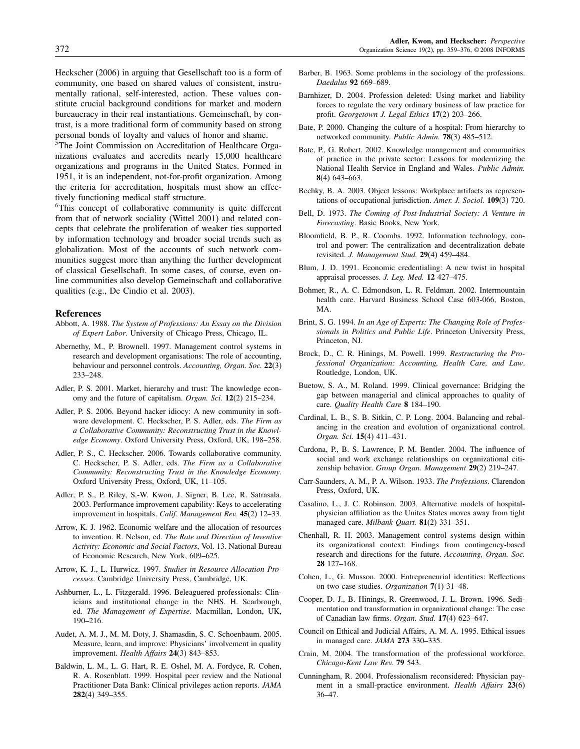<sup>5</sup>The Joint Commission on Accreditation of Healthcare Organizations evaluates and accredits nearly 15,000 healthcare organizations and programs in the United States. Formed in 1951, it is an independent, not-for-profit organization. Among the criteria for accreditation, hospitals must show an effectively functioning medical staff structure.

6This concept of collaborative community is quite different from that of network sociality (Wittel 2001) and related concepts that celebrate the proliferation of weaker ties supported by information technology and broader social trends such as globalization. Most of the accounts of such network communities suggest more than anything the further development of classical Gesellschaft. In some cases, of course, even online communities also develop Gemeinschaft and collaborative qualities (e.g., De Cindio et al. 2003).

#### References

- Abbott, A. 1988. The System of Professions: An Essay on the Division of Expert Labor. University of Chicago Press, Chicago, IL.
- Abernethy, M., P. Brownell. 1997. Management control systems in research and development organisations: The role of accounting, behaviour and personnel controls. Accounting, Organ. Soc. 22(3) 233–248.
- Adler, P. S. 2001. Market, hierarchy and trust: The knowledge economy and the future of capitalism. Organ. Sci. 12(2) 215–234.
- Adler, P. S. 2006. Beyond hacker idiocy: A new community in software development. C. Heckscher, P. S. Adler, eds. The Firm as a Collaborative Community: Reconstructing Trust in the Knowledge Economy. Oxford University Press, Oxford, UK, 198–258.
- Adler, P. S., C. Heckscher. 2006. Towards collaborative community. C. Heckscher, P. S. Adler, eds. The Firm as a Collaborative Community: Reconstructing Trust in the Knowledge Economy. Oxford University Press, Oxford, UK, 11–105.
- Adler, P. S., P. Riley, S.-W. Kwon, J. Signer, B. Lee, R. Satrasala. 2003. Performance improvement capability: Keys to accelerating improvement in hospitals. Calif. Management Rev. 45(2) 12-33.
- Arrow, K. J. 1962. Economic welfare and the allocation of resources to invention. R. Nelson, ed. The Rate and Direction of Inventive Activity: Economic and Social Factors, Vol. 13. National Bureau of Economic Research, New York, 609–625.
- Arrow, K. J., L. Hurwicz. 1997. Studies in Resource Allocation Processes. Cambridge University Press, Cambridge, UK.
- Ashburner, L., L. Fitzgerald. 1996. Beleaguered professionals: Clinicians and institutional change in the NHS. H. Scarbrough, ed. The Management of Expertise. Macmillan, London, UK, 190–216.
- Audet, A. M. J., M. M. Doty, J. Shamasdin, S. C. Schoenbaum. 2005. Measure, learn, and improve: Physicians' involvement in quality improvement. Health Affairs 24(3) 843-853.
- Baldwin, L. M., L. G. Hart, R. E. Oshel, M. A. Fordyce, R. Cohen, R. A. Rosenblatt. 1999. Hospital peer review and the National Practitioner Data Bank: Clinical privileges action reports. JAMA 282(4) 349–355.
- Barber, B. 1963. Some problems in the sociology of the professions. Daedalus 92 669–689.
- Barnhizer, D. 2004. Profession deleted: Using market and liability forces to regulate the very ordinary business of law practice for profit. Georgetown J. Legal Ethics 17(2) 203-266.
- Bate, P. 2000. Changing the culture of a hospital: From hierarchy to networked community. Public Admin. 78(3) 485–512.
- Bate, P., G. Robert. 2002. Knowledge management and communities of practice in the private sector: Lessons for modernizing the National Health Service in England and Wales. Public Admin. 8(4) 643–663.
- Bechky, B. A. 2003. Object lessons: Workplace artifacts as representations of occupational jurisdiction. Amer. J. Sociol. 109(3) 720.
- Bell, D. 1973. The Coming of Post-Industrial Society: A Venture in Forecasting. Basic Books, New York.
- Bloomfield, B. P., R. Coombs. 1992. Information technology, control and power: The centralization and decentralization debate revisited. J. Management Stud. 29(4) 459–484.
- Blum, J. D. 1991. Economic credentialing: A new twist in hospital appraisal processes. J. Leg. Med. 12 427–475.
- Bohmer, R., A. C. Edmondson, L. R. Feldman. 2002. Intermountain health care. Harvard Business School Case 603-066, Boston, MA.
- Brint, S. G. 1994. In an Age of Experts: The Changing Role of Professionals in Politics and Public Life. Princeton University Press, Princeton, NJ.
- Brock, D., C. R. Hinings, M. Powell. 1999. Restructuring the Professional Organization: Accounting, Health Care, and Law. Routledge, London, UK.
- Buetow, S. A., M. Roland. 1999. Clinical governance: Bridging the gap between managerial and clinical approaches to quality of care. Quality Health Care 8 184–190.
- Cardinal, L. B., S. B. Sitkin, C. P. Long. 2004. Balancing and rebalancing in the creation and evolution of organizational control. Organ. Sci. 15(4) 411–431.
- Cardona, P., B. S. Lawrence, P. M. Bentler. 2004. The influence of social and work exchange relationships on organizational citizenship behavior. Group Organ. Management 29(2) 219–247.
- Carr-Saunders, A. M., P. A. Wilson. 1933. The Professions. Clarendon Press, Oxford, UK.
- Casalino, L., J. C. Robinson. 2003. Alternative models of hospitalphysician affiliation as the Unites States moves away from tight managed care. Milbank Quart. 81(2) 331-351.
- Chenhall, R. H. 2003. Management control systems design within its organizational context: Findings from contingency-based research and directions for the future. Accounting, Organ. Soc. 28 127–168.
- Cohen, L., G. Musson. 2000. Entrepreneurial identities: Reflections on two case studies. Organization 7(1) 31–48.
- Cooper, D. J., B. Hinings, R. Greenwood, J. L. Brown. 1996. Sedimentation and transformation in organizational change: The case of Canadian law firms. Organ. Stud. 17(4) 623–647.
- Council on Ethical and Judicial Affairs, A. M. A. 1995. Ethical issues in managed care. JAMA 273 330–335.
- Crain, M. 2004. The transformation of the professional workforce. Chicago-Kent Law Rev. 79 543.
- Cunningham, R. 2004. Professionalism reconsidered: Physician payment in a small-practice environment. Health Affairs 23(6) 36–47.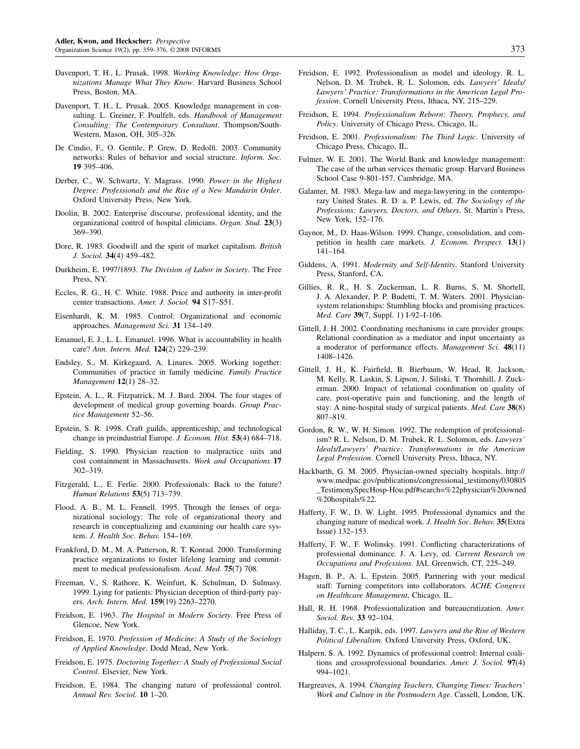- Davenport, T. H., L. Prusak. 1998. Working Knowledge: How Organizations Manage What They Know. Harvard Business School Press, Boston, MA.
- Davenport, T. H., L. Prusak. 2005. Knowledge management in consulting. L. Greiner, F. Poulfelt, eds. Handbook of Management Consulting: The Contemporary Consultant. Thompson/South-Western, Mason, OH, 305–326.
- De Cindio, F., O. Gentile, P. Grew, D. Redolfi. 2003. Community networks: Rules of behavior and social structure. Inform. Soc. 19 395–406.
- Derber, C., W. Schwartz, Y. Magrass. 1990. Power in the Highest Degree: Professionals and the Rise of a New Mandarin Order. Oxford University Press, New York.
- Doolin, B. 2002. Enterprise discourse, professional identity, and the organizational control of hospital clinicians. Organ. Stud. 23(3) 369–390.
- Dore, R. 1983. Goodwill and the spirit of market capitalism. British J. Sociol. 34(4) 459–482.
- Durkheim, E. 1997/1893. The Division of Labor in Society. The Free Press, NY.
- Eccles, R. G., H. C. White. 1988. Price and authority in inter-profit center transactions. Amer. J. Sociol. 94 S17–S51.
- Eisenhardt, K. M. 1985. Control: Organizational and economic approaches. Management Sci. 31 134–149.
- Emanuel, E. J., L. L. Emanuel. 1996. What is accountability in health care? Ann. Intern. Med. 124(2) 229-239.
- Endsley, S., M. Kirkegaard, A. Linares. 2005. Working together: Communities of practice in family medicine. Family Practice Management 12(1) 28–32.
- Epstein, A. L., R. Fitzpatrick, M. J. Bard. 2004. The four stages of development of medical group governing boards. Group Practice Management 52–56.
- Epstein, S. R. 1998. Craft guilds, apprenticeship, and technological change in preindustrial Europe. J. Econom. Hist. 53(4) 684–718.
- Fielding, S. 1990. Physician reaction to malpractice suits and cost containment in Massachusetts. Work and Occupations 17 302–319.
- Fitzgerald, L., E. Ferlie. 2000. Professionals: Back to the future? Human Relations 53(5) 713–739.
- Flood, A. B., M. L. Fennell. 1995. Through the lenses of organizational sociology: The role of organizational theory and research in conceptualizing and examining our health care system. J. Health Soc. Behav. 154–169.
- Frankford, D. M., M. A. Patterson, R. T. Konrad. 2000. Transforming practice organizations to foster lifelong learning and commitment to medical professionalism. Acad. Med. **75**(7) 708.
- Freeman, V., S. Rathore, K. Weinfurt, K. Schulman, D. Sulmasy. 1999. Lying for patients: Physician deception of third-party payers. Arch. Intern. Med. 159(19) 2263–2270.
- Freidson, E. 1963. The Hospital in Modern Society. Free Press of Glencoe, New York.
- Freidson, E. 1970. Profession of Medicine: A Study of the Sociology of Applied Knowledge. Dodd Mead, New York.
- Freidson, E. 1975. Doctoring Together: A Study of Professional Social Control. Elsevier, New York.
- Freidson, E. 1984. The changing nature of professional control. Annual Rev. Sociol. 10 1–20.
- Freidson, E. 1992. Professionalism as model and ideology. R. L. Nelson, D. M. Trubek, R. L. Solomon, eds. Lawyers' Ideals/ Lawyers' Practice: Transformations in the American Legal Profession. Cornell University Press, Ithaca, NY, 215–229.
- Freidson, E. 1994. Professionalism Reborn: Theory, Prophecy, and Policy. University of Chicago Press, Chicago, IL.
- Freidson, E. 2001. Professionalism: The Third Logic. University of Chicago Press, Chicago, IL.
- Fulmer, W. E. 2001. The World Bank and knowledge management: The case of the urban services thematic group. Harvard Business School Case 9-801-157, Cambridge, MA.
- Galanter, M. 1983. Mega-law and mega-lawyering in the contemporary United States. R. D. a. P. Lewis, ed. The Sociology of the Professions: Lawyers, Doctors, and Others. St. Martin's Press, New York, 152–176.
- Gaynor, M., D. Haas-Wilson. 1999. Change, consolidation, and competition in health care markets. J. Econom. Perspect. 13(1) 141–164.
- Giddens, A. 1991. Modernity and Self-Identity. Stanford University Press, Stanford, CA.
- Gillies, R. R., H. S. Zuckerman, L. R. Burns, S. M. Shortell, J. A. Alexander, P. P. Budetti, T. M. Waters. 2001. Physiciansystem relationships: Stumbling blocks and promising practices. Med. Care 39(7, Suppl. 1) I-92–I-106.
- Gittell, J. H. 2002. Coordinating mechanisms in care provider groups: Relational coordination as a mediator and input uncertainty as a moderator of performance effects. Management Sci. 48(11) 1408–1426.
- Gittell, J. H., K. Fairfield, B. Bierbaum, W. Head, R. Jackson, M. Kelly, R. Laskin, S. Lipson, J. Siliski, T. Thornhill, J. Zuckerman. 2000. Impact of relational coordination on quality of care, post-operative pain and functioning, and the length of stay: A nine-hospital study of surgical patients. Med. Care 38(8) 807–819.
- Gordon, R. W., W. H. Simon. 1992. The redemption of professionalism? R. L. Nelson, D. M. Trubek, R. L. Solomon, eds. Lawyers' Ideals/Lawyers' Practice: Transformations in the American Legal Profession. Cornell University Press, Ithaca, NY.
- Hackbarth, G. M. 2005. Physician-owned specialty hospitals. http:// www.medpac.gov/publications/congressional\_testimony/030805 \_TestimonySpecHosp-Hou.pdf#search=%22physician%20owned %20hospitals%22.
- Hafferty, F. W., D. W. Light. 1995. Professional dynamics and the changing nature of medical work. J. Health Soc. Behav. 35(Extra Issue) 132–153.
- Hafferty, F. W., F. Wolinsky. 1991. Conflicting characterizations of professional dominance. J. A. Levy, ed. Current Research on Occupations and Professions. JAI, Greenwich, CT, 225–249.
- Hagen, B. P., A. L. Epstein. 2005. Partnering with your medical staff: Turning competitors into collaborators. ACHE Congress on Healthcare Management, Chicago, IL.
- Hall, R. H. 1968. Professionalization and bureaucratization. Amer. Sociol. Rev. 33 92–104.
- Halliday, T. C., L. Karpik, eds. 1997. Lawyers and the Rise of Western Political Liberalism. Oxford University Press, Oxford, UK.
- Halpern, S. A. 1992. Dynamics of professional control: Internal coalitions and crossprofessional boundaries. Amer. J. Sociol. 97(4) 994–1021.
- Hargreaves, A. 1994. Changing Teachers, Changing Times: Teachers' Work and Culture in the Postmodern Age. Cassell, London, UK.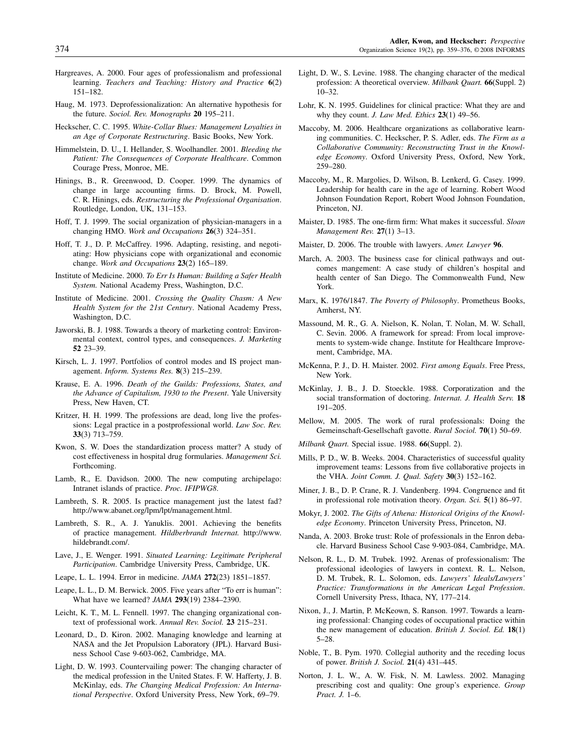- Hargreaves, A. 2000. Four ages of professionalism and professional learning. Teachers and Teaching: History and Practice 6(2) 151–182.
- Haug, M. 1973. Deprofessionalization: An alternative hypothesis for the future. Sociol. Rev. Monographs 20 195-211.
- Heckscher, C. C. 1995. White-Collar Blues: Management Loyalties in an Age of Corporate Restructuring. Basic Books, New York.
- Himmelstein, D. U., I. Hellander, S. Woolhandler. 2001. Bleeding the Patient: The Consequences of Corporate Healthcare. Common Courage Press, Monroe, ME.
- Hinings, B., R. Greenwood, D. Cooper. 1999. The dynamics of change in large accounting firms. D. Brock, M. Powell, C. R. Hinings, eds. Restructuring the Professional Organisation. Routledge, London, UK, 131–153.
- Hoff, T. J. 1999. The social organization of physician-managers in a changing HMO. Work and Occupations 26(3) 324-351.
- Hoff, T. J., D. P. McCaffrey. 1996. Adapting, resisting, and negotiating: How physicians cope with organizational and economic change. Work and Occupations 23(2) 165-189.
- Institute of Medicine. 2000. To Err Is Human: Building a Safer Health System. National Academy Press, Washington, D.C.
- Institute of Medicine. 2001. Crossing the Quality Chasm: A New Health System for the 21st Century. National Academy Press, Washington, D.C.
- Jaworski, B. J. 1988. Towards a theory of marketing control: Environmental context, control types, and consequences. J. Marketing 52 23–39.
- Kirsch, L. J. 1997. Portfolios of control modes and IS project management. Inform. Systems Res. 8(3) 215-239.
- Krause, E. A. 1996. Death of the Guilds: Professions, States, and the Advance of Capitalism, 1930 to the Present. Yale University Press, New Haven, CT.
- Kritzer, H. H. 1999. The professions are dead, long live the professions: Legal practice in a postprofessional world. Law Soc. Rev. 33(3) 713–759.
- Kwon, S. W. Does the standardization process matter? A study of cost effectiveness in hospital drug formularies. Management Sci. Forthcoming.
- Lamb, R., E. Davidson. 2000. The new computing archipelago: Intranet islands of practice. Proc. IFIPWG8.
- Lambreth, S. R. 2005. Is practice management just the latest fad? http://www.abanet.org/lpm/lpt/management.html.
- Lambreth, S. R., A. J. Yanuklis. 2001. Achieving the benefits of practice management. Hildberbrandt Internat. http://www. hildebrandt.com/.
- Lave, J., E. Wenger. 1991. Situated Learning: Legitimate Peripheral Participation. Cambridge University Press, Cambridge, UK.
- Leape, L. L. 1994. Error in medicine. JAMA 272(23) 1851–1857.
- Leape, L. L., D. M. Berwick. 2005. Five years after "To err is human": What have we learned? JAMA 293(19) 2384–2390.
- Leicht, K. T., M. L. Fennell. 1997. The changing organizational context of professional work. Annual Rev. Sociol. 23 215–231.
- Leonard, D., D. Kiron. 2002. Managing knowledge and learning at NASA and the Jet Propulsion Laboratory (JPL). Harvard Business School Case 9-603-062, Cambridge, MA.
- Light, D. W. 1993. Countervailing power: The changing character of the medical profession in the United States. F. W. Hafferty, J. B. McKinlay, eds. The Changing Medical Profession: An International Perspective. Oxford University Press, New York, 69–79.
- Light, D. W., S. Levine. 1988. The changing character of the medical profession: A theoretical overview. Milbank Quart. 66(Suppl. 2) 10–32.
- Lohr, K. N. 1995. Guidelines for clinical practice: What they are and why they count. J. Law Med. Ethics  $23(1)$  49-56.
- Maccoby, M. 2006. Healthcare organizations as collaborative learning communities. C. Heckscher, P. S. Adler, eds. The Firm as a Collaborative Community: Reconstructing Trust in the Knowledge Economy. Oxford University Press, Oxford, New York, 259–280.
- Maccoby, M., R. Margolies, D. Wilson, B. Lenkerd, G. Casey. 1999. Leadership for health care in the age of learning. Robert Wood Johnson Foundation Report, Robert Wood Johnson Foundation, Princeton, NJ.
- Maister, D. 1985. The one-firm firm: What makes it successful. Sloan Management Rev. 27(1) 3–13.
- Maister, D. 2006. The trouble with lawyers. Amer. Lawyer 96.
- March, A. 2003. The business case for clinical pathways and outcomes mangement: A case study of children's hospital and health center of San Diego. The Commonwealth Fund, New York.
- Marx, K. 1976/1847. The Poverty of Philosophy. Prometheus Books, Amherst, NY.
- Massound, M. R., G. A. Nielson, K. Nolan, T. Nolan, M. W. Schall, C. Sevin. 2006. A framework for spread: From local improvements to system-wide change. Institute for Healthcare Improvement, Cambridge, MA.
- McKenna, P. J., D. H. Maister. 2002. First among Equals. Free Press, New York.
- McKinlay, J. B., J. D. Stoeckle. 1988. Corporatization and the social transformation of doctoring. Internat. J. Health Serv. 18 191–205.
- Mellow, M. 2005. The work of rural professionals: Doing the Gemeinschaft-Gesellschaft gavotte. Rural Sociol. 70(1) 50–69.
- Milbank Quart. Special issue. 1988. 66(Suppl. 2).
- Mills, P. D., W. B. Weeks. 2004. Characteristics of successful quality improvement teams: Lessons from five collaborative projects in the VHA. Joint Comm. J. Qual. Safety 30(3) 152-162.
- Miner, J. B., D. P. Crane, R. J. Vandenberg. 1994. Congruence and fit in professional role motivation theory. Organ. Sci. 5(1) 86–97.
- Mokyr, J. 2002. The Gifts of Athena: Historical Origins of the Knowledge Economy. Princeton University Press, Princeton, NJ.
- Nanda, A. 2003. Broke trust: Role of professionals in the Enron debacle. Harvard Business School Case 9-903-084, Cambridge, MA.
- Nelson, R. L., D. M. Trubek. 1992. Arenas of professionalism: The professional ideologies of lawyers in context. R. L. Nelson, D. M. Trubek, R. L. Solomon, eds. Lawyers' Ideals/Lawyers' Practice: Transformations in the American Legal Profession. Cornell University Press, Ithaca, NY, 177–214.
- Nixon, J., J. Martin, P. McKeown, S. Ranson. 1997. Towards a learning professional: Changing codes of occupational practice within the new management of education. British J. Sociol. Ed. 18(1) 5–28.
- Noble, T., B. Pym. 1970. Collegial authority and the receding locus of power. British J. Sociol. 21(4) 431–445.
- Norton, J. L. W., A. W. Fisk, N. M. Lawless. 2002. Managing prescribing cost and quality: One group's experience. Group Pract. J. 1–6.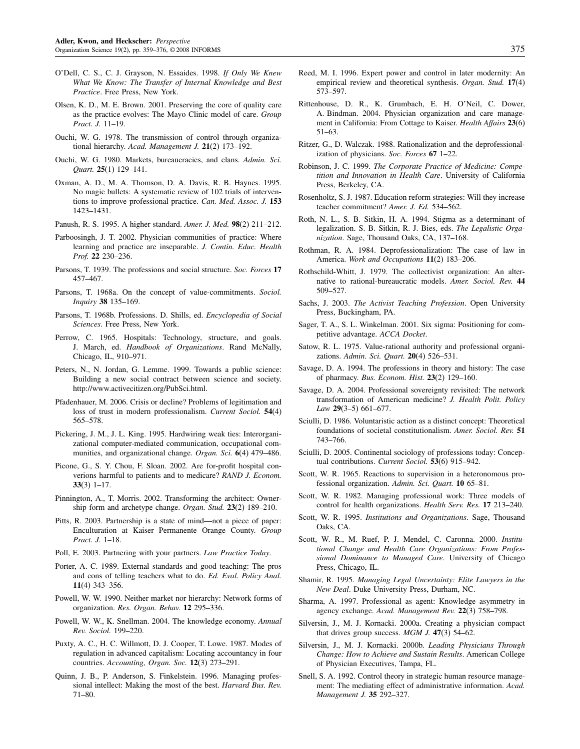- O'Dell, C. S., C. J. Grayson, N. Essaides. 1998. If Only We Knew What We Know: The Transfer of Internal Knowledge and Best Practice. Free Press, New York.
- Olsen, K. D., M. E. Brown. 2001. Preserving the core of quality care as the practice evolves: The Mayo Clinic model of care. Group Pract. J. 11–19.
- Ouchi, W. G. 1978. The transmission of control through organizational hierarchy. Acad. Management J. 21(2) 173-192.
- Ouchi, W. G. 1980. Markets, bureaucracies, and clans. Admin. Sci. Quart. 25(1) 129–141.
- Oxman, A. D., M. A. Thomson, D. A. Davis, R. B. Haynes. 1995. No magic bullets: A systematic review of 102 trials of interventions to improve professional practice. Can. Med. Assoc. J. 153 1423–1431.
- Panush, R. S. 1995. A higher standard. Amer. J. Med. 98(2) 211–212.
- Parboosingh, J. T. 2002. Physician communities of practice: Where learning and practice are inseparable. J. Contin. Educ. Health Prof. 22 230–236.
- Parsons, T. 1939. The professions and social structure. Soc. Forces 17 457–467.
- Parsons, T. 1968a. On the concept of value-commitments. Sociol. Inquiry 38 135–169.
- Parsons, T. 1968b. Professions. D. Shills, ed. Encyclopedia of Social Sciences. Free Press, New York.
- Perrow, C. 1965. Hospitals: Technology, structure, and goals. J. March, ed. Handbook of Organizations. Rand McNally, Chicago, IL, 910–971.
- Peters, N., N. Jordan, G. Lemme. 1999. Towards a public science: Building a new social contract between science and society. http://www.activecitizen.org/PubSci.html.
- Pfadenhauer, M. 2006. Crisis or decline? Problems of legitimation and loss of trust in modern professionalism. Current Sociol. 54(4) 565–578.
- Pickering, J. M., J. L. King. 1995. Hardwiring weak ties: Interorganizational computer-mediated communication, occupational communities, and organizational change. Organ. Sci. 6(4) 479–486.
- Picone, G., S. Y. Chou, F. Sloan. 2002. Are for-profit hospital converions harmful to patients and to medicare? RAND J. Econom. 33 $(3)$  1–17.
- Pinnington, A., T. Morris. 2002. Transforming the architect: Ownership form and archetype change. Organ. Stud. 23(2) 189-210.
- Pitts, R. 2003. Partnership is a state of mind—not a piece of paper: Enculturation at Kaiser Permanente Orange County. Group Pract. J. 1–18.
- Poll, E. 2003. Partnering with your partners. Law Practice Today.
- Porter, A. C. 1989. External standards and good teaching: The pros and cons of telling teachers what to do. Ed. Eval. Policy Anal. 11(4) 343–356.
- Powell, W. W. 1990. Neither market nor hierarchy: Network forms of organization. Res. Organ. Behav. 12 295–336.
- Powell, W. W., K. Snellman. 2004. The knowledge economy. Annual Rev. Sociol. 199–220.
- Puxty, A. C., H. C. Willmott, D. J. Cooper, T. Lowe. 1987. Modes of regulation in advanced capitalism: Locating accountancy in four countries. Accounting, Organ. Soc. 12(3) 273–291.
- Quinn, J. B., P. Anderson, S. Finkelstein. 1996. Managing professional intellect: Making the most of the best. Harvard Bus. Rev. 71–80.
- Reed, M. I. 1996. Expert power and control in later modernity: An empirical review and theoretical synthesis. Organ. Stud. 17(4) 573–597.
- Rittenhouse, D. R., K. Grumbach, E. H. O'Neil, C. Dower, A. Bindman. 2004. Physician organization and care management in California: From Cottage to Kaiser. Health Affairs 23(6) 51–63.
- Ritzer, G., D. Walczak. 1988. Rationalization and the deprofessionalization of physicians. Soc. Forces 67 1–22.
- Robinson, J. C. 1999. The Corporate Practice of Medicine: Competition and Innovation in Health Care. University of California Press, Berkeley, CA.
- Rosenholtz, S. J. 1987. Education reform strategies: Will they increase teacher commitment? Amer. J. Ed. 534–562.
- Roth, N. L., S. B. Sitkin, H. A. 1994. Stigma as a determinant of legalization. S. B. Sitkin, R. J. Bies, eds. The Legalistic Organization. Sage, Thousand Oaks, CA, 137–168.
- Rothman, R. A. 1984. Deprofessionalization: The case of law in America. Work and Occupations 11(2) 183-206.
- Rothschild-Whitt, J. 1979. The collectivist organization: An alternative to rational-bureaucratic models. Amer. Sociol. Rev. 44 509–527.
- Sachs, J. 2003. The Activist Teaching Profession. Open University Press, Buckingham, PA.
- Sager, T. A., S. L. Winkelman. 2001. Six sigma: Positioning for competitive advantage. ACCA Docket.
- Satow, R. L. 1975. Value-rational authority and professional organizations. Admin. Sci. Quart. 20(4) 526–531.
- Savage, D. A. 1994. The professions in theory and history: The case of pharmacy. Bus. Econom. Hist. 23(2) 129–160.
- Savage, D. A. 2004. Professional sovereignty revisited: The network transformation of American medicine? J. Health Polit. Policy Law 29(3–5) 661–677.
- Sciulli, D. 1986. Voluntaristic action as a distinct concept: Theoretical foundations of societal constitutionalism. Amer. Sociol. Rev. 51 743–766.
- Sciulli, D. 2005. Continental sociology of professions today: Conceptual contributions. Current Sociol. 53(6) 915-942.
- Scott, W. R. 1965. Reactions to supervision in a heteronomous professional organization. Admin. Sci. Quart. 10 65–81.
- Scott, W. R. 1982. Managing professional work: Three models of control for health organizations. Health Serv. Res. 17 213–240.
- Scott, W. R. 1995. Institutions and Organizations. Sage, Thousand Oaks, CA.
- Scott, W. R., M. Ruef, P. J. Mendel, C. Caronna. 2000. Institutional Change and Health Care Organizations: From Professional Dominance to Managed Care. University of Chicago Press, Chicago, IL.
- Shamir, R. 1995. Managing Legal Uncertainty: Elite Lawyers in the New Deal. Duke University Press, Durham, NC.
- Sharma, A. 1997. Professional as agent: Knowledge asymmetry in agency exchange. Acad. Management Rev. 22(3) 758–798.
- Silversin, J., M. J. Kornacki. 2000a. Creating a physician compact that drives group success.  $MGM$  J. 47(3) 54–62.
- Silversin, J., M. J. Kornacki. 2000b. Leading Physicians Through Change: How to Achieve and Sustain Results. American College of Physician Executives, Tampa, FL.
- Snell, S. A. 1992. Control theory in strategic human resource management: The mediating effect of administrative information. Acad. Management J. 35 292–327.